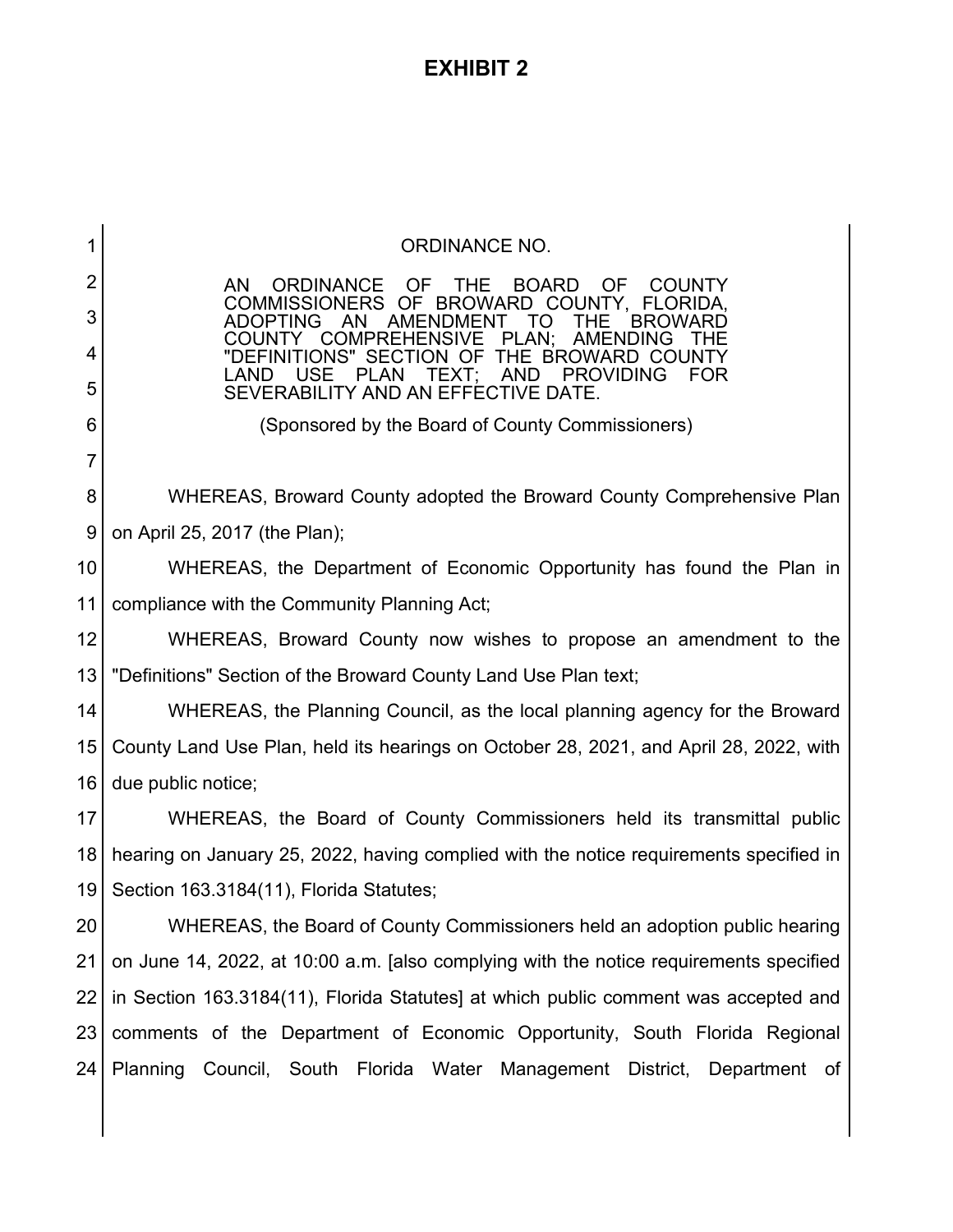# **EXHIBIT 2**

| 1  | <b>ORDINANCE NO.</b>                                                                                                                                                                                     |  |  |  |  |  |  |
|----|----------------------------------------------------------------------------------------------------------------------------------------------------------------------------------------------------------|--|--|--|--|--|--|
| 2  | <b>ORDINANCE</b><br>OF<br>THE<br><b>BOARD</b><br><b>OF</b><br>AN.<br><b>COUNTY</b>                                                                                                                       |  |  |  |  |  |  |
| 3  | COMMISSIONERS OF BROWARD COUNTY, FLORIDA,<br>AMENDMENT<br><b>ADOPTING</b><br>AN<br><b>BROWARD</b><br>TO.<br>⊥HF                                                                                          |  |  |  |  |  |  |
| 4  | PLAN;<br><b>AMENDING</b><br><b>COMPREHENSIVE</b><br>COUNTY<br>THE.<br>"DEFINITIONS" SECTION OF THE BROWARD COUNTY<br><b>USE</b><br>LAND<br>AND<br><b>PROVIDING</b><br><b>FOR</b><br><b>PLAN</b><br>TEXT: |  |  |  |  |  |  |
| 5  | SEVERABILITY AND AN EFFECTIVE DATE.                                                                                                                                                                      |  |  |  |  |  |  |
| 6  | (Sponsored by the Board of County Commissioners)                                                                                                                                                         |  |  |  |  |  |  |
| 7  |                                                                                                                                                                                                          |  |  |  |  |  |  |
| 8  | WHEREAS, Broward County adopted the Broward County Comprehensive Plan                                                                                                                                    |  |  |  |  |  |  |
| 9  | on April 25, 2017 (the Plan);                                                                                                                                                                            |  |  |  |  |  |  |
| 10 | WHEREAS, the Department of Economic Opportunity has found the Plan in                                                                                                                                    |  |  |  |  |  |  |
| 11 | compliance with the Community Planning Act;                                                                                                                                                              |  |  |  |  |  |  |
| 12 | WHEREAS, Broward County now wishes to propose an amendment to the                                                                                                                                        |  |  |  |  |  |  |
| 13 | "Definitions" Section of the Broward County Land Use Plan text;                                                                                                                                          |  |  |  |  |  |  |
| 14 | WHEREAS, the Planning Council, as the local planning agency for the Broward                                                                                                                              |  |  |  |  |  |  |
| 15 | County Land Use Plan, held its hearings on October 28, 2021, and April 28, 2022, with                                                                                                                    |  |  |  |  |  |  |
| 16 | due public notice;                                                                                                                                                                                       |  |  |  |  |  |  |
| 17 | WHEREAS, the Board of County Commissioners held its transmittal public                                                                                                                                   |  |  |  |  |  |  |
| 18 | hearing on January 25, 2022, having complied with the notice requirements specified in                                                                                                                   |  |  |  |  |  |  |
| 19 | Section 163.3184(11), Florida Statutes;                                                                                                                                                                  |  |  |  |  |  |  |
| 20 | WHEREAS, the Board of County Commissioners held an adoption public hearing                                                                                                                               |  |  |  |  |  |  |
| 21 | on June 14, 2022, at 10:00 a.m. [also complying with the notice requirements specified                                                                                                                   |  |  |  |  |  |  |
| 22 | in Section 163.3184(11), Florida Statutes] at which public comment was accepted and                                                                                                                      |  |  |  |  |  |  |
| 23 | comments of the Department of Economic Opportunity, South Florida Regional                                                                                                                               |  |  |  |  |  |  |
| 24 | Planning Council, South Florida Water Management District, Department of                                                                                                                                 |  |  |  |  |  |  |
|    |                                                                                                                                                                                                          |  |  |  |  |  |  |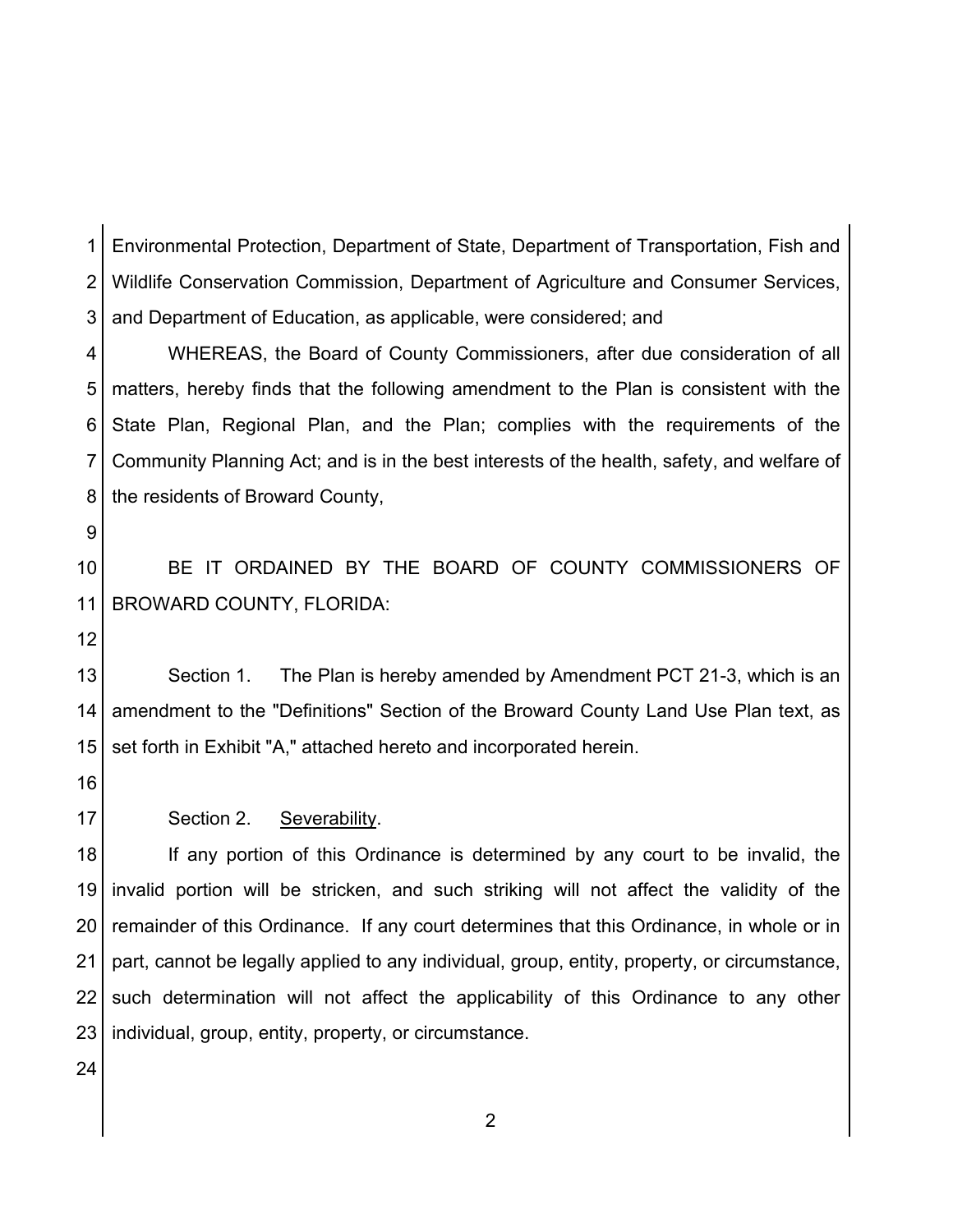1 2 3 Environmental Protection, Department of State, Department of Transportation, Fish and Wildlife Conservation Commission, Department of Agriculture and Consumer Services, and Department of Education, as applicable, were considered; and

4 5 6 7 8 WHEREAS, the Board of County Commissioners, after due consideration of all matters, hereby finds that the following amendment to the Plan is consistent with the State Plan, Regional Plan, and the Plan; complies with the requirements of the Community Planning Act; and is in the best interests of the health, safety, and welfare of the residents of Broward County,

9

10 11 BE IT ORDAINED BY THE BOARD OF COUNTY COMMISSIONERS OF BROWARD COUNTY, FLORIDA:

12

13 14 15 Section 1. The Plan is hereby amended by Amendment PCT 21-3, which is an amendment to the "Definitions" Section of the Broward County Land Use Plan text, as set forth in Exhibit "A," attached hereto and incorporated herein.

- 16
- 17 Section 2. Severability.

18 19 20 21 22 23 If any portion of this Ordinance is determined by any court to be invalid, the invalid portion will be stricken, and such striking will not affect the validity of the remainder of this Ordinance. If any court determines that this Ordinance, in whole or in part, cannot be legally applied to any individual, group, entity, property, or circumstance, such determination will not affect the applicability of this Ordinance to any other individual, group, entity, property, or circumstance.

24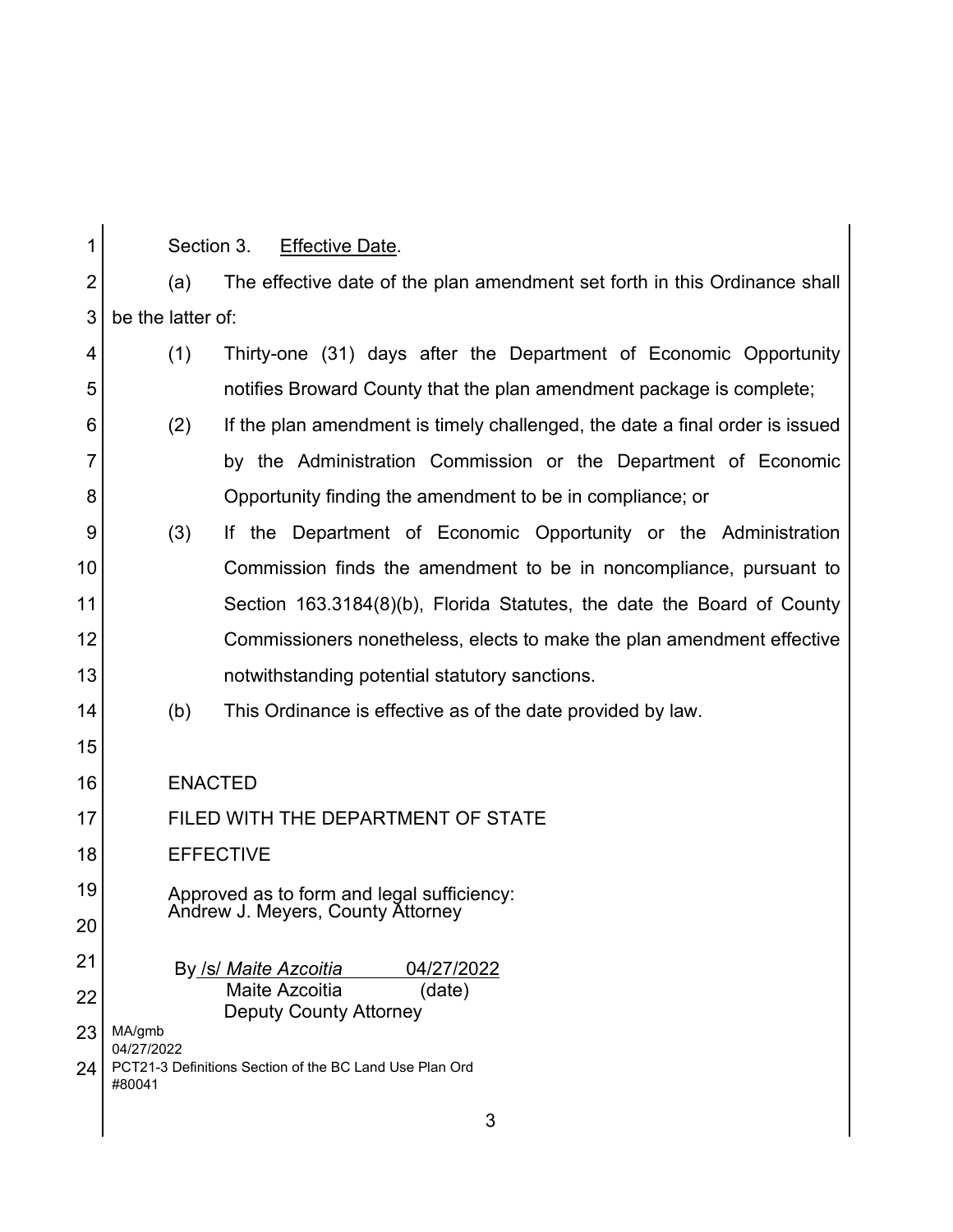| 1              | Section 3.                                                                      | <b>Effective Date.</b>                                                       |  |  |  |  |  |  |
|----------------|---------------------------------------------------------------------------------|------------------------------------------------------------------------------|--|--|--|--|--|--|
| $\overline{2}$ | (a)                                                                             | The effective date of the plan amendment set forth in this Ordinance shall   |  |  |  |  |  |  |
| 3              |                                                                                 | be the latter of:                                                            |  |  |  |  |  |  |
| 4              | (1)                                                                             | Thirty-one (31) days after the Department of Economic Opportunity            |  |  |  |  |  |  |
| 5              |                                                                                 | notifies Broward County that the plan amendment package is complete;         |  |  |  |  |  |  |
| 6              | (2)                                                                             | If the plan amendment is timely challenged, the date a final order is issued |  |  |  |  |  |  |
| $\overline{7}$ |                                                                                 | by the Administration Commission or the Department of Economic               |  |  |  |  |  |  |
| 8              |                                                                                 | Opportunity finding the amendment to be in compliance; or                    |  |  |  |  |  |  |
| 9              | (3)                                                                             | If the Department of Economic Opportunity or the Administration              |  |  |  |  |  |  |
| 10             |                                                                                 | Commission finds the amendment to be in noncompliance, pursuant to           |  |  |  |  |  |  |
| 11             |                                                                                 | Section 163.3184(8)(b), Florida Statutes, the date the Board of County       |  |  |  |  |  |  |
| 12             |                                                                                 | Commissioners nonetheless, elects to make the plan amendment effective       |  |  |  |  |  |  |
| 13             |                                                                                 | notwithstanding potential statutory sanctions.                               |  |  |  |  |  |  |
| 14             | (b)                                                                             | This Ordinance is effective as of the date provided by law.                  |  |  |  |  |  |  |
| 15             |                                                                                 |                                                                              |  |  |  |  |  |  |
| 16             | <b>ENACTED</b>                                                                  |                                                                              |  |  |  |  |  |  |
| 17             | FILED WITH THE DEPARTMENT OF STATE                                              |                                                                              |  |  |  |  |  |  |
| 18             | <b>EFFECTIVE</b>                                                                |                                                                              |  |  |  |  |  |  |
| 19             | Approved as to form and legal sufficiency:<br>Andrew J. Meyers, County Attorney |                                                                              |  |  |  |  |  |  |
| 20             |                                                                                 |                                                                              |  |  |  |  |  |  |
| 21             |                                                                                 | By /s/ Maite Azcoitia<br>04/27/2022                                          |  |  |  |  |  |  |
| 22             | Maite Azcoitia<br>(date)<br><b>Deputy County Attorney</b>                       |                                                                              |  |  |  |  |  |  |
| 23             | MA/gmb<br>04/27/2022                                                            |                                                                              |  |  |  |  |  |  |
| 24             | PCT21-3 Definitions Section of the BC Land Use Plan Ord<br>#80041               |                                                                              |  |  |  |  |  |  |
|                |                                                                                 | 3                                                                            |  |  |  |  |  |  |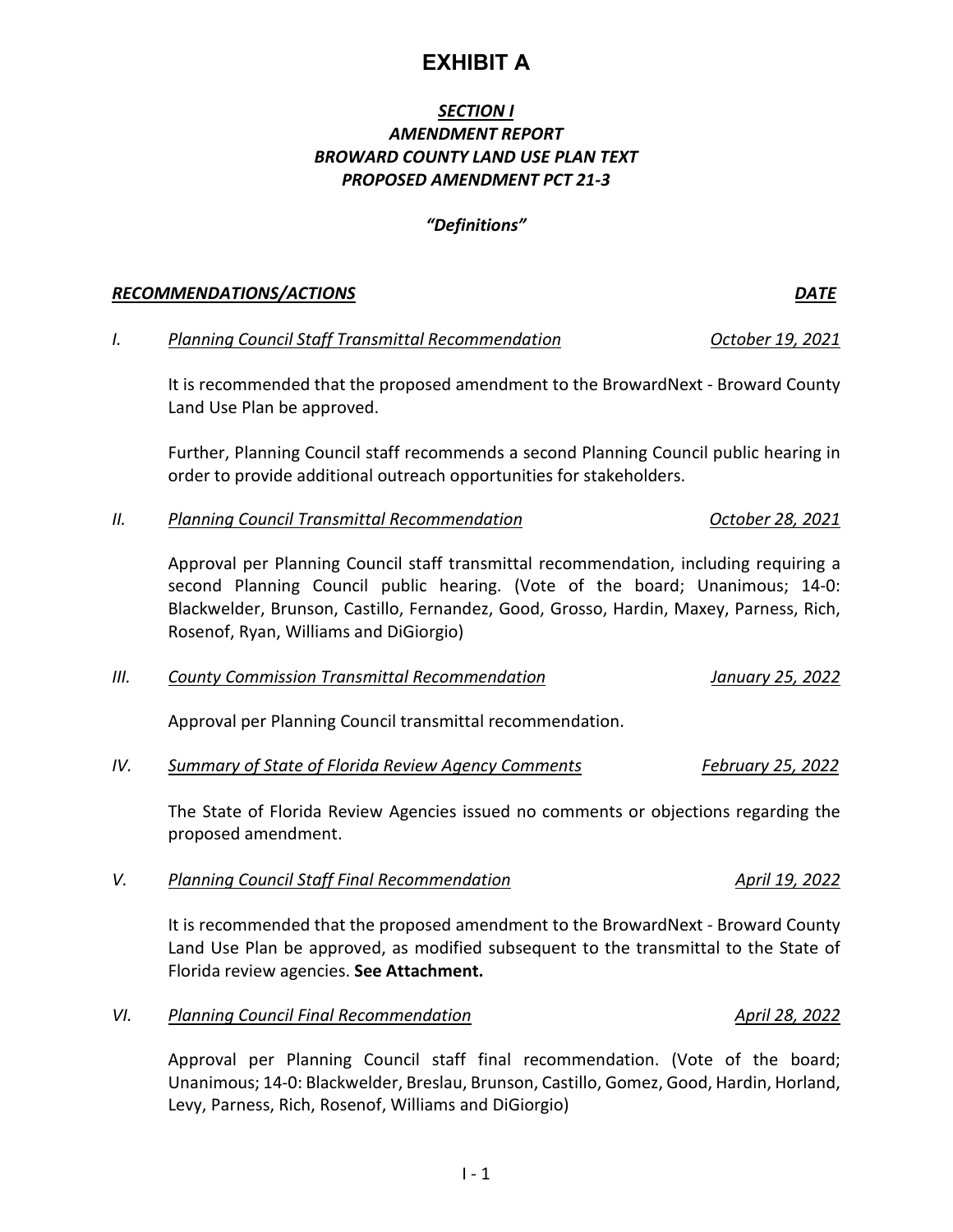$1 - 1$ 

# **EXHIBIT A**

## *SECTION I AMENDMENT REPORT BROWARD COUNTY LAND USE PLAN TEXT PROPOSED AMENDMENT PCT 21-3*

## *"Definitions"*

## *RECOMMENDATIONS/ACTIONS DATE*

## *I. Planning Council Staff Transmittal Recommendation October 19, 2021*

It is recommended that the proposed amendment to the BrowardNext - Broward County Land Use Plan be approved.

Further, Planning Council staff recommends a second Planning Council public hearing in order to provide additional outreach opportunities for stakeholders.

## *II. Planning Council Transmittal Recommendation October 28, 2021*

Approval per Planning Council staff transmittal recommendation, including requiring a second Planning Council public hearing. (Vote of the board; Unanimous; 14-0: Blackwelder, Brunson, Castillo, Fernandez, Good, Grosso, Hardin, Maxey, Parness, Rich, Rosenof, Ryan, Williams and DiGiorgio)

|  | Ш. | <b>County Commission Transmittal Recommendation</b> | January 25, 2022 |  |  |
|--|----|-----------------------------------------------------|------------------|--|--|
|--|----|-----------------------------------------------------|------------------|--|--|

Approval per Planning Council transmittal recommendation.

*IV. Summary of State of Florida Review Agency Comments February 25, 2022*

The State of Florida Review Agencies issued no comments or objections regarding the proposed amendment.

## *V. Planning Council Staff Final Recommendation April 19, 2022*

It is recommended that the proposed amendment to the BrowardNext - Broward County Land Use Plan be approved, as modified subsequent to the transmittal to the State of Florida review agencies. **See Attachment.**

*VI. Planning Council Final Recommendation April 28, 2022* 

Approval per Planning Council staff final recommendation. (Vote of the board; Unanimous; 14-0: Blackwelder, Breslau, Brunson, Castillo, Gomez, Good, Hardin, Horland, Levy, Parness, Rich, Rosenof, Williams and DiGiorgio)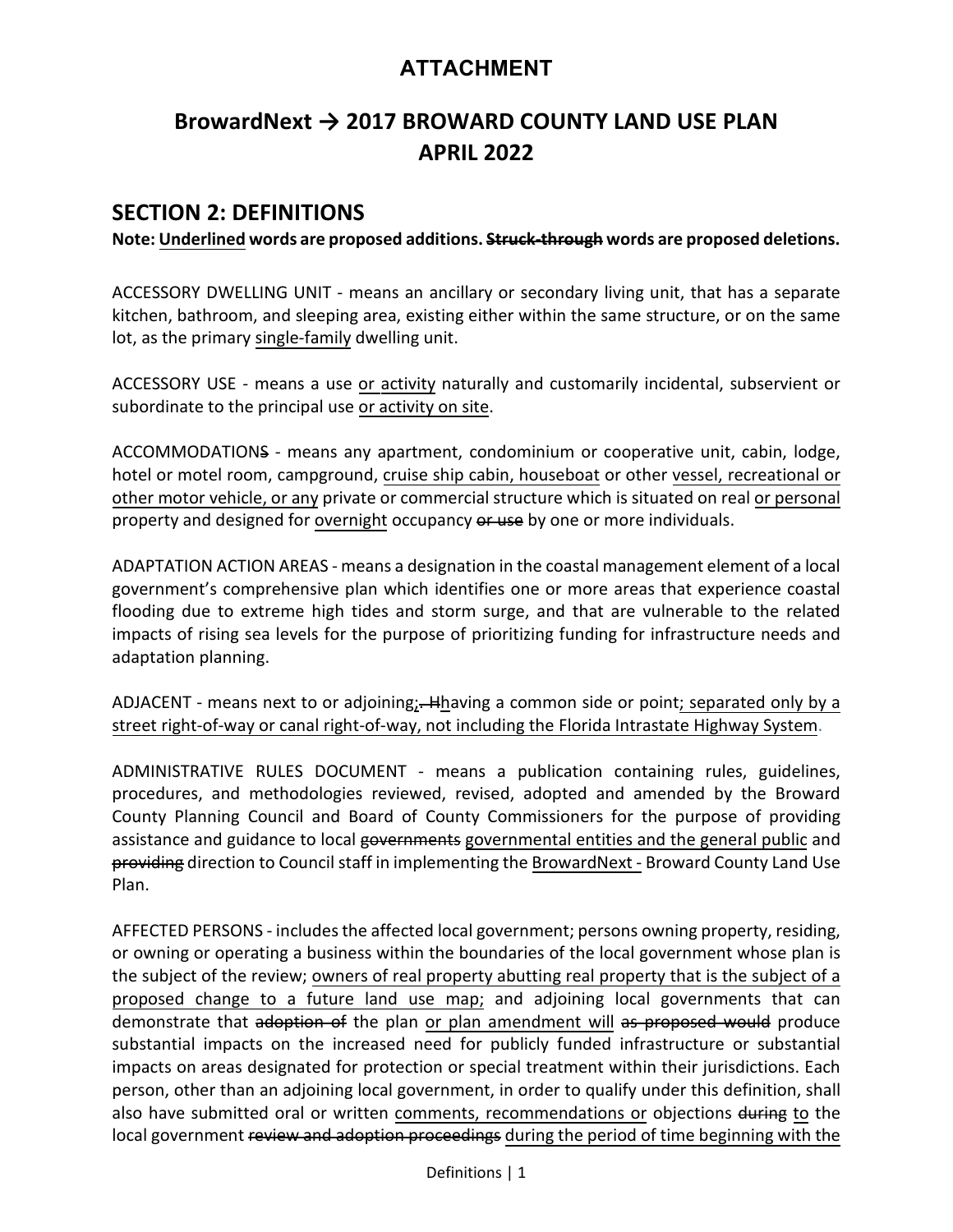## **ATTACHMENT**

# **BrowardNext → 2017 BROWARD COUNTY LAND USE PLAN APRIL 2022**

## **SECTION 2: DEFINITIONS**

**Note: Underlined words are proposed additions. Struck-through words are proposed deletions.**

ACCESSORY DWELLING UNIT - means an ancillary or secondary living unit, that has a separate kitchen, bathroom, and sleeping area, existing either within the same structure, or on the same lot, as the primary single-family dwelling unit.

ACCESSORY USE - means a use or activity naturally and customarily incidental, subservient or subordinate to the principal use or activity on site.

ACCOMMODATIONS - means any apartment, condominium or cooperative unit, cabin, lodge, hotel or motel room, campground, cruise ship cabin, houseboat or other vessel, recreational or other motor vehicle, or any private or commercial structure which is situated on real or personal property and designed for overnight occupancy or use by one or more individuals.

ADAPTATION ACTION AREAS - means a designation in the coastal management element of a local government's comprehensive plan which identifies one or more areas that experience coastal flooding due to extreme high tides and storm surge, and that are vulnerable to the related impacts of rising sea levels for the purpose of prioritizing funding for infrastructure needs and adaptation planning.

ADJACENT - means next to or adjoining; Hhaving a common side or point; separated only by a street right-of-way or canal right-of-way, not including the Florida Intrastate Highway System.

ADMINISTRATIVE RULES DOCUMENT - means a publication containing rules, guidelines, procedures, and methodologies reviewed, revised, adopted and amended by the Broward County Planning Council and Board of County Commissioners for the purpose of providing assistance and guidance to local governments governmental entities and the general public and providing direction to Council staff in implementing the BrowardNext - Broward County Land Use Plan.

AFFECTED PERSONS - includes the affected local government; persons owning property, residing, or owning or operating a business within the boundaries of the local government whose plan is the subject of the review; owners of real property abutting real property that is the subject of a proposed change to a future land use map; and adjoining local governments that can demonstrate that adoption of the plan or plan amendment will as proposed would produce substantial impacts on the increased need for publicly funded infrastructure or substantial impacts on areas designated for protection or special treatment within their jurisdictions. Each person, other than an adjoining local government, in order to qualify under this definition, shall also have submitted oral or written comments, recommendations or objections during to the local government review and adoption proceedings during the period of time beginning with the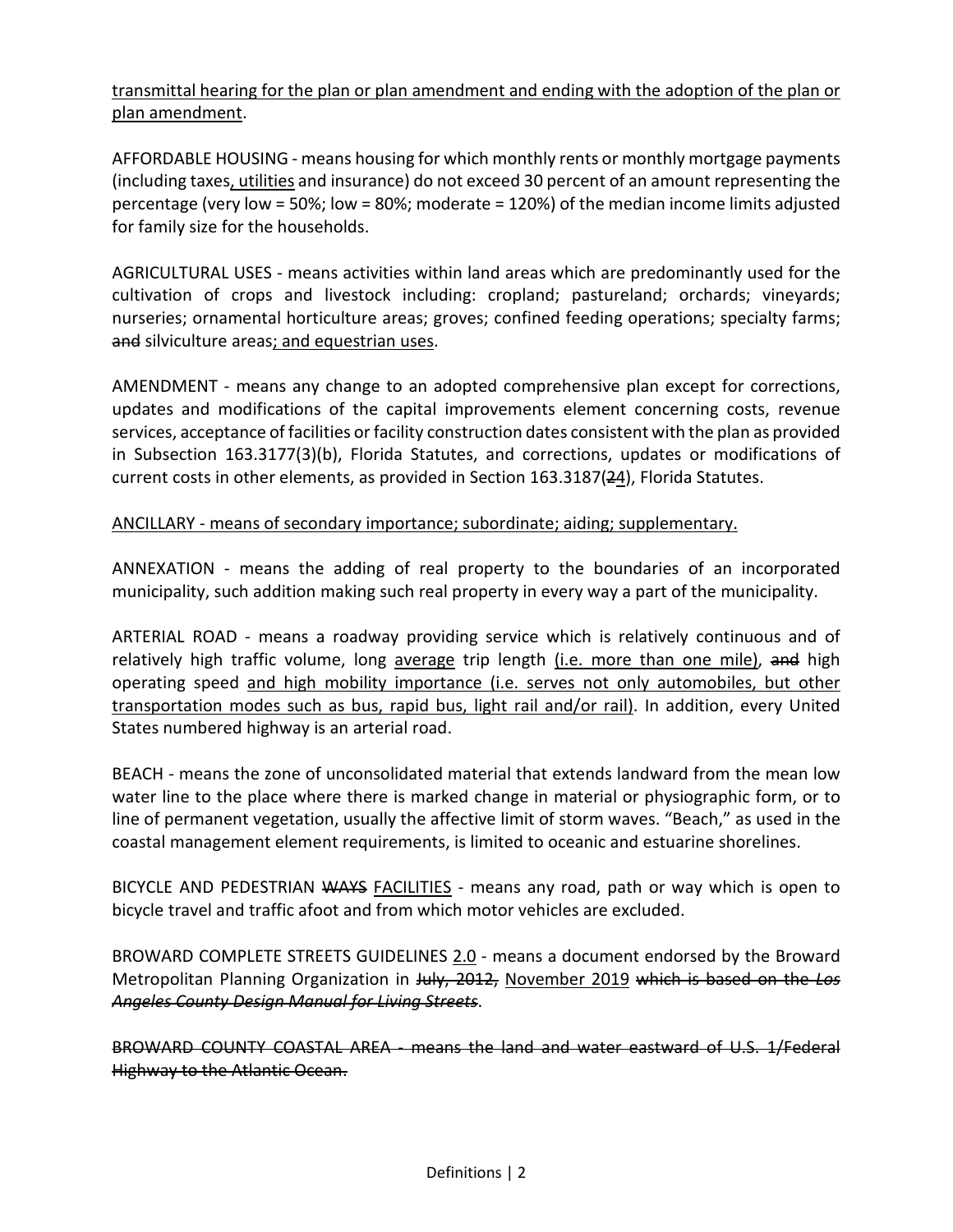transmittal hearing for the plan or plan amendment and ending with the adoption of the plan or plan amendment.

AFFORDABLE HOUSING - means housing for which monthly rents or monthly mortgage payments (including taxes, utilities and insurance) do not exceed 30 percent of an amount representing the percentage (very low = 50%; low = 80%; moderate = 120%) of the median income limits adjusted for family size for the households.

AGRICULTURAL USES - means activities within land areas which are predominantly used for the cultivation of crops and livestock including: cropland; pastureland; orchards; vineyards; nurseries; ornamental horticulture areas; groves; confined feeding operations; specialty farms; and silviculture areas; and equestrian uses.

AMENDMENT - means any change to an adopted comprehensive plan except for corrections, updates and modifications of the capital improvements element concerning costs, revenue services, acceptance of facilities or facility construction dates consistent with the plan as provided in Subsection 163.3177(3)(b), Florida Statutes, and corrections, updates or modifications of current costs in other elements, as provided in Section 163.3187(24), Florida Statutes.

ANCILLARY - means of secondary importance; subordinate; aiding; supplementary.

ANNEXATION - means the adding of real property to the boundaries of an incorporated municipality, such addition making such real property in every way a part of the municipality.

ARTERIAL ROAD - means a roadway providing service which is relatively continuous and of relatively high traffic volume, long average trip length (i.e. more than one mile), and high operating speed and high mobility importance (i.e. serves not only automobiles, but other transportation modes such as bus, rapid bus, light rail and/or rail). In addition, every United States numbered highway is an arterial road.

BEACH - means the zone of unconsolidated material that extends landward from the mean low water line to the place where there is marked change in material or physiographic form, or to line of permanent vegetation, usually the affective limit of storm waves. "Beach," as used in the coastal management element requirements, is limited to oceanic and estuarine shorelines.

BICYCLE AND PEDESTRIAN WAYS FACILITIES - means any road, path or way which is open to bicycle travel and traffic afoot and from which motor vehicles are excluded.

BROWARD COMPLETE STREETS GUIDELINES 2.0 - means a document endorsed by the Broward Metropolitan Planning Organization in July, 2012, November 2019 which is based on the *Los Angeles County Design Manual for Living Streets*.

BROWARD COUNTY COASTAL AREA - means the land and water eastward of U.S. 1/Federal Highway to the Atlantic Ocean.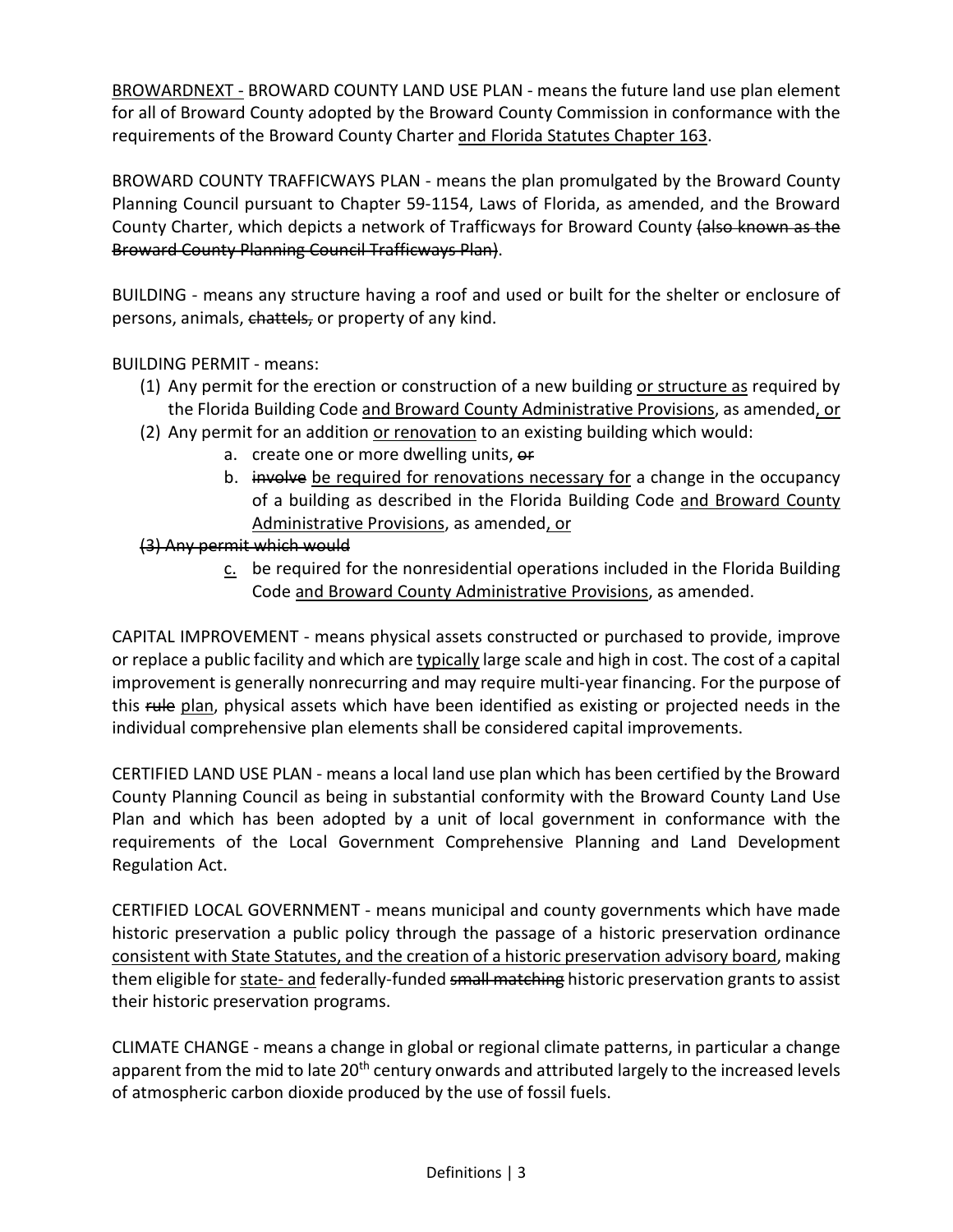BROWARDNEXT - BROWARD COUNTY LAND USE PLAN - means the future land use plan element for all of Broward County adopted by the Broward County Commission in conformance with the requirements of the Broward County Charter and Florida Statutes Chapter 163.

BROWARD COUNTY TRAFFICWAYS PLAN - means the plan promulgated by the Broward County Planning Council pursuant to Chapter 59-1154, Laws of Florida, as amended, and the Broward County Charter, which depicts a network of Trafficways for Broward County (also known as the Broward County Planning Council Trafficways Plan).

BUILDING - means any structure having a roof and used or built for the shelter or enclosure of persons, animals, chattels, or property of any kind.

BUILDING PERMIT - means:

- (1) Any permit for the erection or construction of a new building or structure as required by the Florida Building Code and Broward County Administrative Provisions, as amended, or
- (2) Any permit for an addition or renovation to an existing building which would:
	- a. create one or more dwelling units, or
	- b. involve be required for renovations necessary for a change in the occupancy of a building as described in the Florida Building Code and Broward County Administrative Provisions, as amended, or

## (3) Any permit which would

c. be required for the nonresidential operations included in the Florida Building Code and Broward County Administrative Provisions, as amended.

CAPITAL IMPROVEMENT - means physical assets constructed or purchased to provide, improve or replace a public facility and which are typically large scale and high in cost. The cost of a capital improvement is generally nonrecurring and may require multi-year financing. For the purpose of this rule plan, physical assets which have been identified as existing or projected needs in the individual comprehensive plan elements shall be considered capital improvements.

CERTIFIED LAND USE PLAN - means a local land use plan which has been certified by the Broward County Planning Council as being in substantial conformity with the Broward County Land Use Plan and which has been adopted by a unit of local government in conformance with the requirements of the Local Government Comprehensive Planning and Land Development Regulation Act.

CERTIFIED LOCAL GOVERNMENT - means municipal and county governments which have made historic preservation a public policy through the passage of a historic preservation ordinance consistent with State Statutes, and the creation of a historic preservation advisory board, making them eligible for state- and federally-funded small matching historic preservation grants to assist their historic preservation programs.

CLIMATE CHANGE - means a change in global or regional climate patterns, in particular a change apparent from the mid to late 20<sup>th</sup> century onwards and attributed largely to the increased levels of atmospheric carbon dioxide produced by the use of fossil fuels.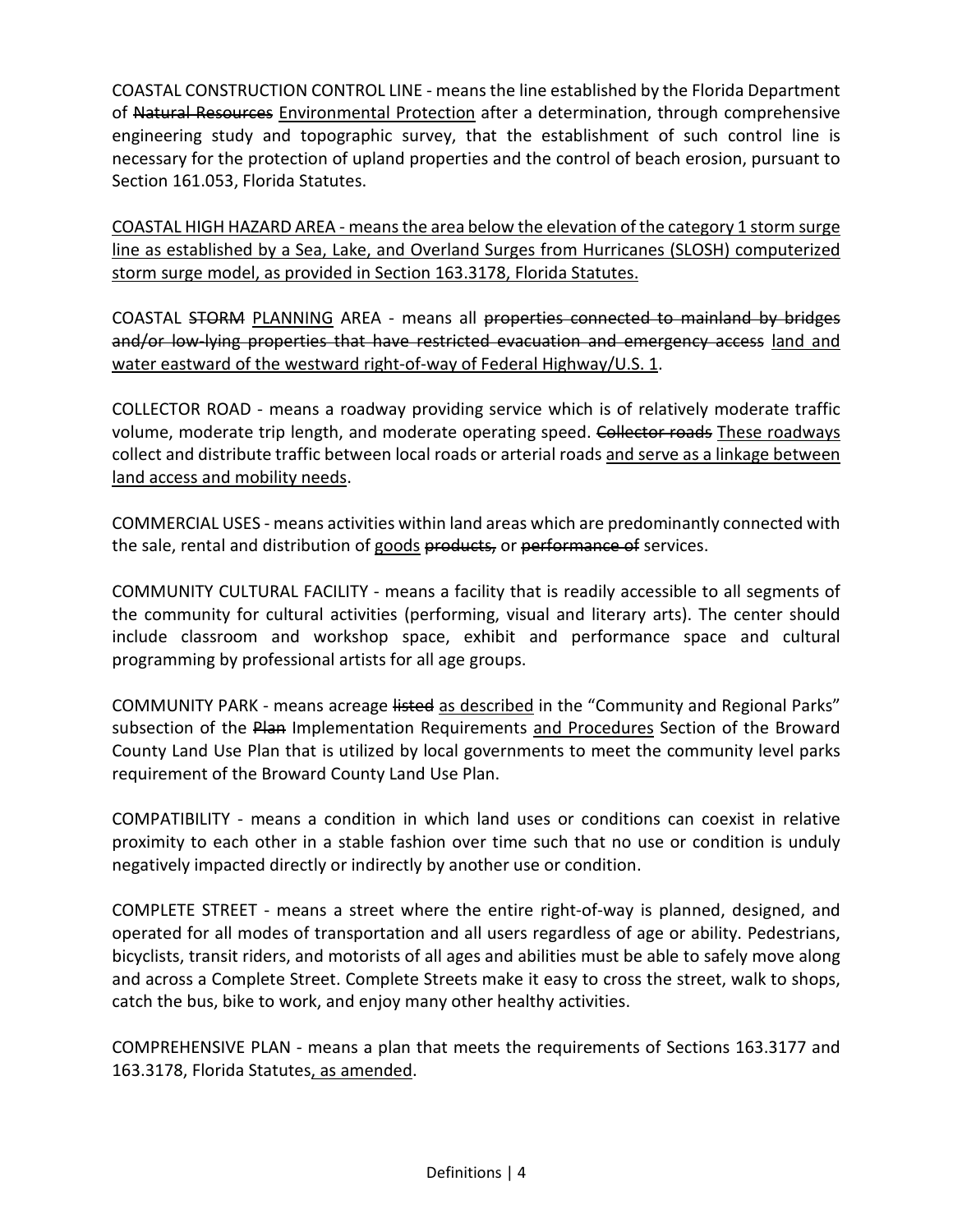COASTAL CONSTRUCTION CONTROL LINE - means the line established by the Florida Department of Natural Resources Environmental Protection after a determination, through comprehensive engineering study and topographic survey, that the establishment of such control line is necessary for the protection of upland properties and the control of beach erosion, pursuant to Section 161.053, Florida Statutes.

COASTAL HIGH HAZARD AREA - means the area below the elevation of the category 1 storm surge line as established by a Sea, Lake, and Overland Surges from Hurricanes (SLOSH) computerized storm surge model, as provided in Section 163.3178, Florida Statutes.

COASTAL STORM PLANNING AREA - means all properties connected to mainland by bridges and/or low-lying properties that have restricted evacuation and emergency access land and water eastward of the westward right-of-way of Federal Highway/U.S. 1.

COLLECTOR ROAD - means a roadway providing service which is of relatively moderate traffic volume, moderate trip length, and moderate operating speed. Collector roads These roadways collect and distribute traffic between local roads or arterial roads and serve as a linkage between land access and mobility needs.

COMMERCIAL USES - means activities within land areas which are predominantly connected with the sale, rental and distribution of goods products, or performance of services.

COMMUNITY CULTURAL FACILITY - means a facility that is readily accessible to all segments of the community for cultural activities (performing, visual and literary arts). The center should include classroom and workshop space, exhibit and performance space and cultural programming by professional artists for all age groups.

COMMUNITY PARK - means acreage listed as described in the "Community and Regional Parks" subsection of the Plan Implementation Requirements and Procedures Section of the Broward County Land Use Plan that is utilized by local governments to meet the community level parks requirement of the Broward County Land Use Plan.

COMPATIBILITY - means a condition in which land uses or conditions can coexist in relative proximity to each other in a stable fashion over time such that no use or condition is unduly negatively impacted directly or indirectly by another use or condition.

COMPLETE STREET - means a street where the entire right-of-way is planned, designed, and operated for all modes of transportation and all users regardless of age or ability. Pedestrians, bicyclists, transit riders, and motorists of all ages and abilities must be able to safely move along and across a Complete Street. Complete Streets make it easy to cross the street, walk to shops, catch the bus, bike to work, and enjoy many other healthy activities.

COMPREHENSIVE PLAN - means a plan that meets the requirements of Sections 163.3177 and 163.3178, Florida Statutes, as amended.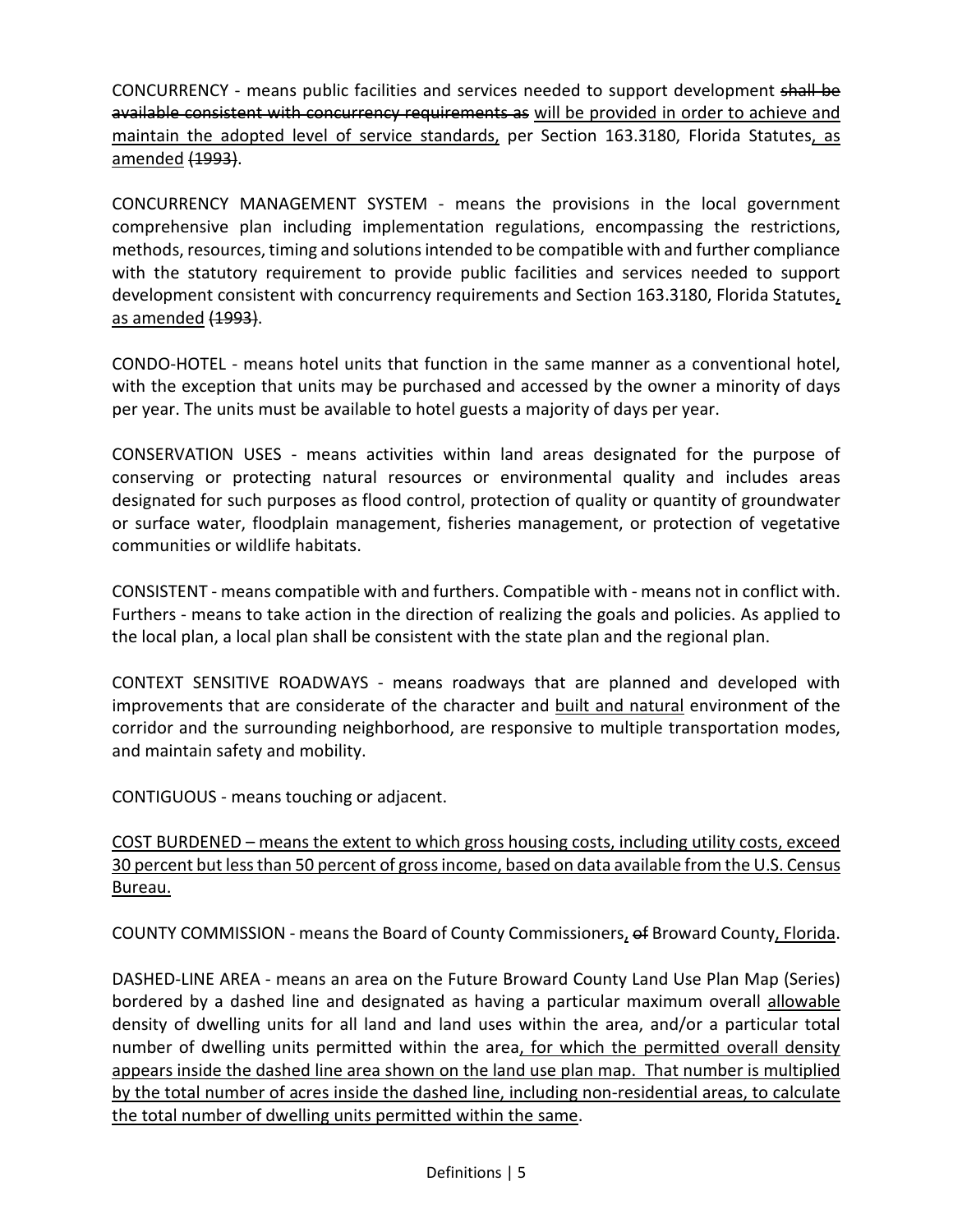CONCURRENCY - means public facilities and services needed to support development shall be available consistent with concurrency requirements as will be provided in order to achieve and maintain the adopted level of service standards, per Section 163.3180, Florida Statutes, as amended (1993).

CONCURRENCY MANAGEMENT SYSTEM - means the provisions in the local government comprehensive plan including implementation regulations, encompassing the restrictions, methods, resources, timing and solutions intended to be compatible with and further compliance with the statutory requirement to provide public facilities and services needed to support development consistent with concurrency requirements and Section 163.3180, Florida Statutes, as amended (1993).

CONDO-HOTEL - means hotel units that function in the same manner as a conventional hotel, with the exception that units may be purchased and accessed by the owner a minority of days per year. The units must be available to hotel guests a majority of days per year.

CONSERVATION USES - means activities within land areas designated for the purpose of conserving or protecting natural resources or environmental quality and includes areas designated for such purposes as flood control, protection of quality or quantity of groundwater or surface water, floodplain management, fisheries management, or protection of vegetative communities or wildlife habitats.

CONSISTENT - means compatible with and furthers. Compatible with - means not in conflict with. Furthers - means to take action in the direction of realizing the goals and policies. As applied to the local plan, a local plan shall be consistent with the state plan and the regional plan.

CONTEXT SENSITIVE ROADWAYS - means roadways that are planned and developed with improvements that are considerate of the character and built and natural environment of the corridor and the surrounding neighborhood, are responsive to multiple transportation modes, and maintain safety and mobility.

CONTIGUOUS - means touching or adjacent.

COST BURDENED – means the extent to which gross housing costs, including utility costs, exceed 30 percent but less than 50 percent of gross income, based on data available from the U.S. Census Bureau.

COUNTY COMMISSION - means the Board of County Commissioners, of Broward County, Florida.

DASHED-LINE AREA - means an area on the Future Broward County Land Use Plan Map (Series) bordered by a dashed line and designated as having a particular maximum overall allowable density of dwelling units for all land and land uses within the area, and/or a particular total number of dwelling units permitted within the area, for which the permitted overall density appears inside the dashed line area shown on the land use plan map. That number is multiplied by the total number of acres inside the dashed line, including non-residential areas, to calculate the total number of dwelling units permitted within the same.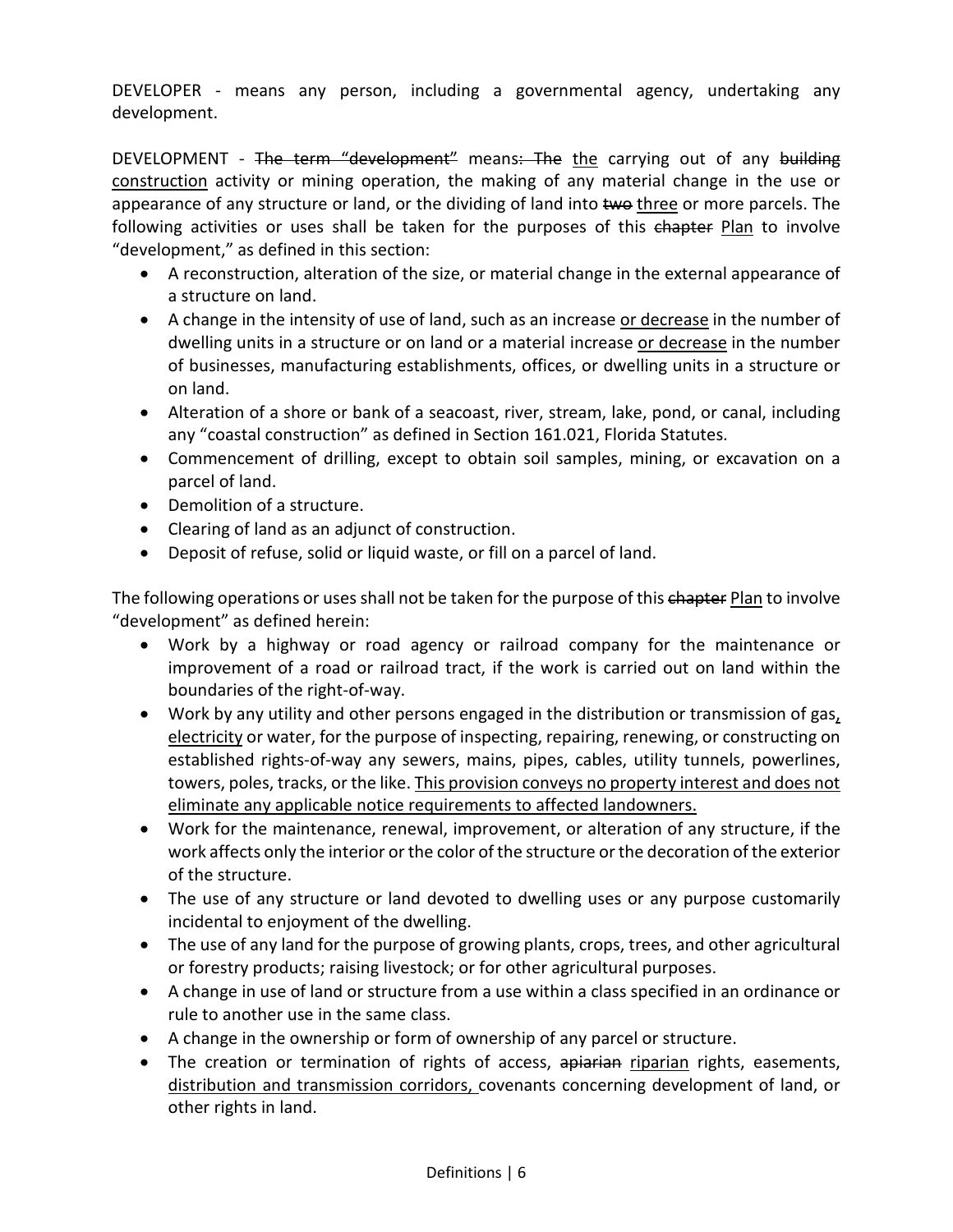DEVELOPER - means any person, including a governmental agency, undertaking any development.

DEVELOPMENT - The term "development" means: The the carrying out of any building construction activity or mining operation, the making of any material change in the use or appearance of any structure or land, or the dividing of land into two three or more parcels. The following activities or uses shall be taken for the purposes of this chapter Plan to involve "development," as defined in this section:

- A reconstruction, alteration of the size, or material change in the external appearance of a structure on land.
- A change in the intensity of use of land, such as an increase or decrease in the number of dwelling units in a structure or on land or a material increase or decrease in the number of businesses, manufacturing establishments, offices, or dwelling units in a structure or on land.
- Alteration of a shore or bank of a seacoast, river, stream, lake, pond, or canal, including any "coastal construction" as defined in Section 161.021, Florida Statutes.
- Commencement of drilling, except to obtain soil samples, mining, or excavation on a parcel of land.
- Demolition of a structure.
- Clearing of land as an adjunct of construction.
- Deposit of refuse, solid or liquid waste, or fill on a parcel of land.

The following operations or uses shall not be taken for the purpose of this chapter Plan to involve "development" as defined herein:

- Work by a highway or road agency or railroad company for the maintenance or improvement of a road or railroad tract, if the work is carried out on land within the boundaries of the right-of-way.
- Work by any utility and other persons engaged in the distribution or transmission of gas, electricity or water, for the purpose of inspecting, repairing, renewing, or constructing on established rights-of-way any sewers, mains, pipes, cables, utility tunnels, powerlines, towers, poles, tracks, or the like. This provision conveys no property interest and does not eliminate any applicable notice requirements to affected landowners.
- Work for the maintenance, renewal, improvement, or alteration of any structure, if the work affects only the interior or the color of the structure or the decoration of the exterior of the structure.
- The use of any structure or land devoted to dwelling uses or any purpose customarily incidental to enjoyment of the dwelling.
- The use of any land for the purpose of growing plants, crops, trees, and other agricultural or forestry products; raising livestock; or for other agricultural purposes.
- A change in use of land or structure from a use within a class specified in an ordinance or rule to another use in the same class.
- A change in the ownership or form of ownership of any parcel or structure.
- The creation or termination of rights of access, apiarian riparian rights, easements, distribution and transmission corridors, covenants concerning development of land, or other rights in land.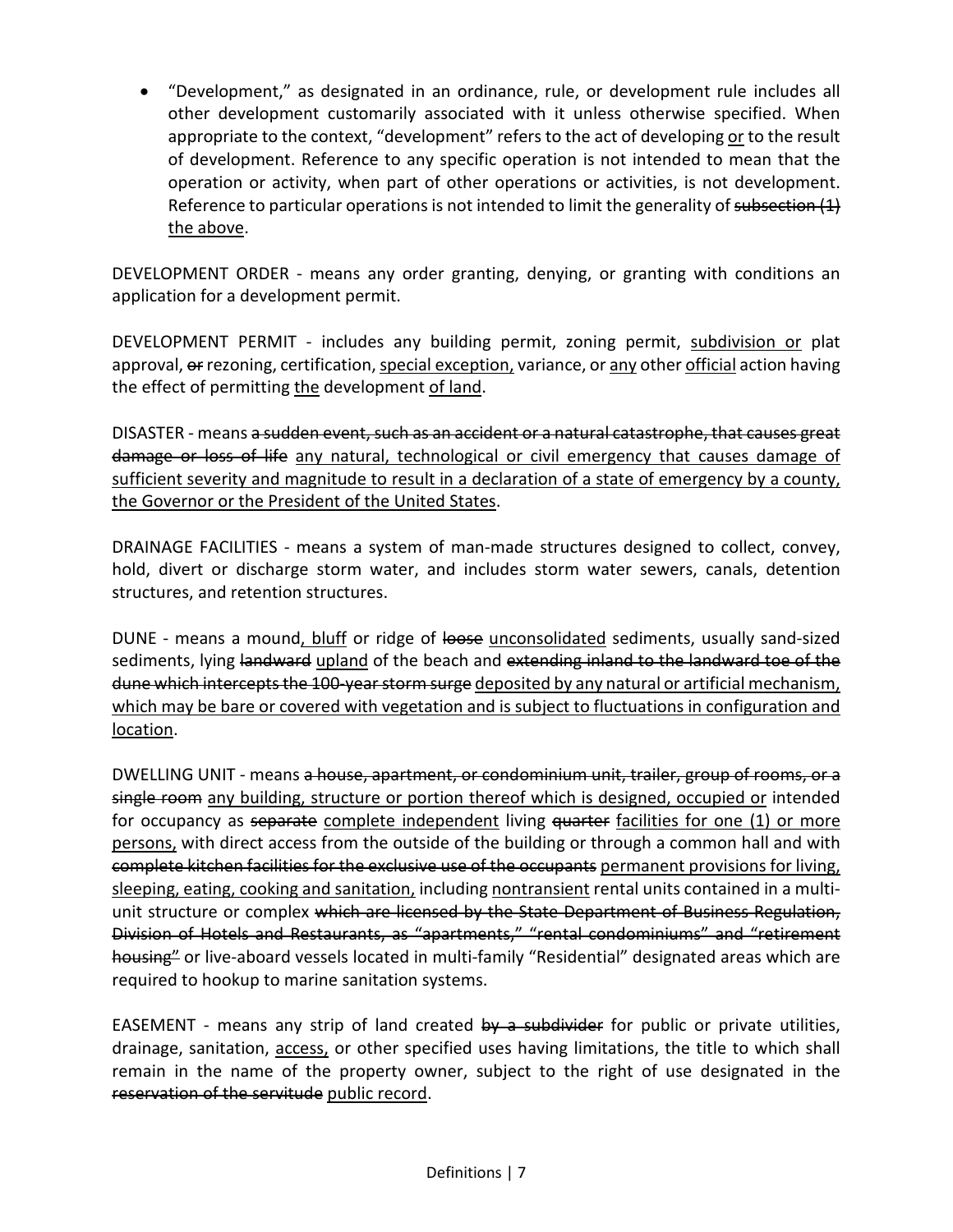• "Development," as designated in an ordinance, rule, or development rule includes all other development customarily associated with it unless otherwise specified. When appropriate to the context, "development" refers to the act of developing or to the result of development. Reference to any specific operation is not intended to mean that the operation or activity, when part of other operations or activities, is not development. Reference to particular operations is not intended to limit the generality of subsection (1) the above.

DEVELOPMENT ORDER - means any order granting, denying, or granting with conditions an application for a development permit.

DEVELOPMENT PERMIT - includes any building permit, zoning permit, subdivision or plat approval,  $\Theta$  rezoning, certification, special exception, variance, or any other official action having the effect of permitting the development of land.

DISASTER - means a sudden event, such as an accident or a natural catastrophe, that causes great damage or loss of life any natural, technological or civil emergency that causes damage of sufficient severity and magnitude to result in a declaration of a state of emergency by a county, the Governor or the President of the United States.

DRAINAGE FACILITIES - means a system of man-made structures designed to collect, convey, hold, divert or discharge storm water, and includes storm water sewers, canals, detention structures, and retention structures.

DUNE - means a mound, bluff or ridge of loose unconsolidated sediments, usually sand-sized sediments, lying landward upland of the beach and extending inland to the landward toe of the dune which intercepts the 100-year storm surge deposited by any natural or artificial mechanism, which may be bare or covered with vegetation and is subject to fluctuations in configuration and location.

DWELLING UNIT - means a house, apartment, or condominium unit, trailer, group of rooms, or a single room any building, structure or portion thereof which is designed, occupied or intended for occupancy as separate complete independent living quarter facilities for one (1) or more persons, with direct access from the outside of the building or through a common hall and with complete kitchen facilities for the exclusive use of the occupants permanent provisions for living, sleeping, eating, cooking and sanitation, including nontransient rental units contained in a multiunit structure or complex which are licensed by the State Department of Business Regulation, Division of Hotels and Restaurants, as "apartments," "rental condominiums" and "retirement housing" or live-aboard vessels located in multi-family "Residential" designated areas which are required to hookup to marine sanitation systems.

EASEMENT - means any strip of land created  $by$  a subdivider for public or private utilities, drainage, sanitation, access, or other specified uses having limitations, the title to which shall remain in the name of the property owner, subject to the right of use designated in the reservation of the servitude public record.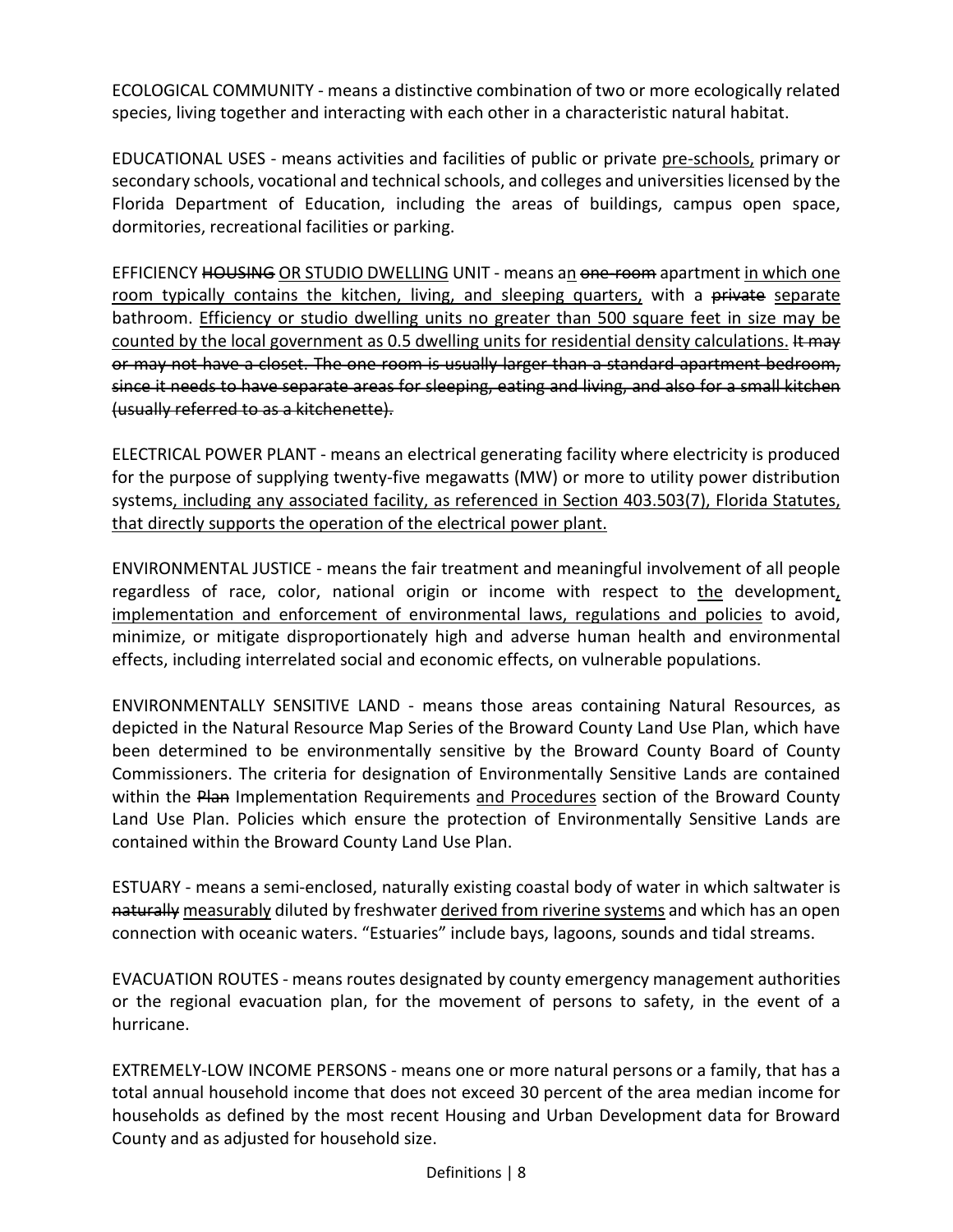ECOLOGICAL COMMUNITY - means a distinctive combination of two or more ecologically related species, living together and interacting with each other in a characteristic natural habitat.

EDUCATIONAL USES - means activities and facilities of public or private pre-schools, primary or secondary schools, vocational and technical schools, and colleges and universities licensed by the Florida Department of Education, including the areas of buildings, campus open space, dormitories, recreational facilities or parking.

EFFICIENCY HOUSING OR STUDIO DWELLING UNIT - means an one-room apartment in which one room typically contains the kitchen, living, and sleeping quarters, with a private separate bathroom. Efficiency or studio dwelling units no greater than 500 square feet in size may be counted by the local government as 0.5 dwelling units for residential density calculations. It may or may not have a closet. The one room is usually larger than a standard apartment bedroom, since it needs to have separate areas for sleeping, eating and living, and also for a small kitchen (usually referred to as a kitchenette).

ELECTRICAL POWER PLANT - means an electrical generating facility where electricity is produced for the purpose of supplying twenty-five megawatts (MW) or more to utility power distribution systems, including any associated facility, as referenced in Section 403.503(7), Florida Statutes, that directly supports the operation of the electrical power plant.

ENVIRONMENTAL JUSTICE - means the fair treatment and meaningful involvement of all people regardless of race, color, national origin or income with respect to the development, implementation and enforcement of environmental laws, regulations and policies to avoid, minimize, or mitigate disproportionately high and adverse human health and environmental effects, including interrelated social and economic effects, on vulnerable populations.

ENVIRONMENTALLY SENSITIVE LAND - means those areas containing Natural Resources, as depicted in the Natural Resource Map Series of the Broward County Land Use Plan, which have been determined to be environmentally sensitive by the Broward County Board of County Commissioners. The criteria for designation of Environmentally Sensitive Lands are contained within the Plan Implementation Requirements and Procedures section of the Broward County Land Use Plan. Policies which ensure the protection of Environmentally Sensitive Lands are contained within the Broward County Land Use Plan.

ESTUARY - means a semi-enclosed, naturally existing coastal body of water in which saltwater is naturally measurably diluted by freshwater derived from riverine systems and which has an open connection with oceanic waters. "Estuaries" include bays, lagoons, sounds and tidal streams.

EVACUATION ROUTES - means routes designated by county emergency management authorities or the regional evacuation plan, for the movement of persons to safety, in the event of a hurricane.

EXTREMELY-LOW INCOME PERSONS - means one or more natural persons or a family, that has a total annual household income that does not exceed 30 percent of the area median income for households as defined by the most recent Housing and Urban Development data for Broward County and as adjusted for household size.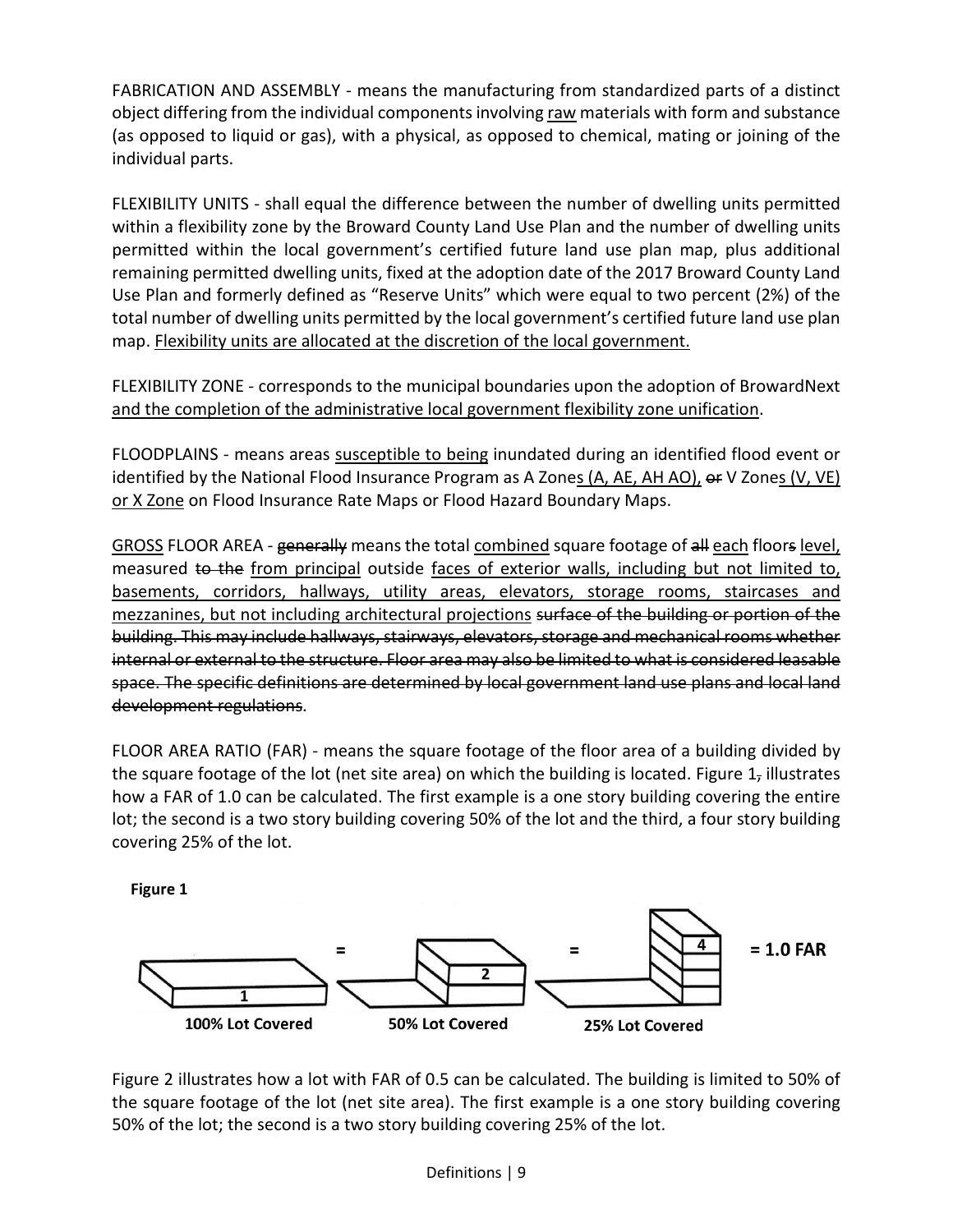FABRICATION AND ASSEMBLY - means the manufacturing from standardized parts of a distinct object differing from the individual components involving raw materials with form and substance (as opposed to liquid or gas), with a physical, as opposed to chemical, mating or joining of the individual parts.

FLEXIBILITY UNITS - shall equal the difference between the number of dwelling units permitted within a flexibility zone by the Broward County Land Use Plan and the number of dwelling units permitted within the local government's certified future land use plan map, plus additional remaining permitted dwelling units, fixed at the adoption date of the 2017 Broward County Land Use Plan and formerly defined as "Reserve Units" which were equal to two percent (2%) of the total number of dwelling units permitted by the local government's certified future land use plan map. Flexibility units are allocated at the discretion of the local government.

FLEXIBILITY ZONE - corresponds to the municipal boundaries upon the adoption of BrowardNext and the completion of the administrative local government flexibility zone unification.

FLOODPLAINS - means areas susceptible to being inundated during an identified flood event or identified by the National Flood Insurance Program as A Zones (A, AE, AH AO), or V Zones (V, VE) or X Zone on Flood Insurance Rate Maps or Flood Hazard Boundary Maps.

GROSS FLOOR AREA - generally means the total combined square footage of all each floors level, measured to the from principal outside faces of exterior walls, including but not limited to, basements, corridors, hallways, utility areas, elevators, storage rooms, staircases and mezzanines, but not including architectural projections surface of the building or portion of the building. This may include hallways, stairways, elevators, storage and mechanical rooms whether internal or external to the structure. Floor area may also be limited to what is considered leasable space. The specific definitions are determined by local government land use plans and local land development regulations.

FLOOR AREA RATIO (FAR) - means the square footage of the floor area of a building divided by the square footage of the lot (net site area) on which the building is located. Figure  $1<sub>7</sub>$  illustrates how a FAR of 1.0 can be calculated. The first example is a one story building covering the entire lot; the second is a two story building covering 50% of the lot and the third, a four story building covering 25% of the lot.

Figure 1



Figure 2 illustrates how a lot with FAR of 0.5 can be calculated. The building is limited to 50% of the square footage of the lot (net site area). The first example is a one story building covering 50% of the lot; the second is a two story building covering 25% of the lot.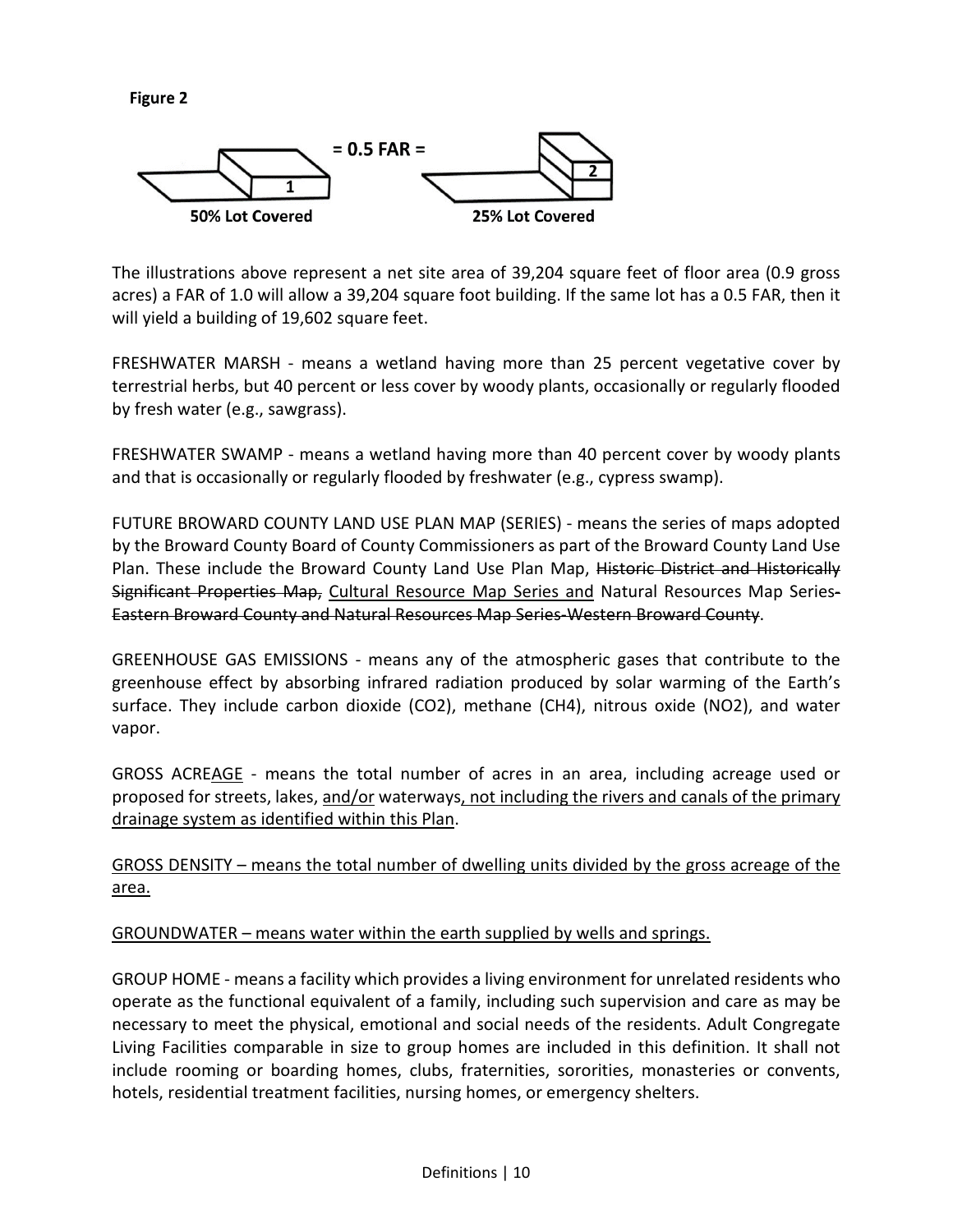**Figure 2** 



The illustrations above represent a net site area of 39,204 square feet of floor area (0.9 gross acres) a FAR of 1.0 will allow a 39,204 square foot building. If the same lot has a 0.5 FAR, then it will yield a building of 19,602 square feet.

FRESHWATER MARSH - means a wetland having more than 25 percent vegetative cover by terrestrial herbs, but 40 percent or less cover by woody plants, occasionally or regularly flooded by fresh water (e.g., sawgrass).

FRESHWATER SWAMP - means a wetland having more than 40 percent cover by woody plants and that is occasionally or regularly flooded by freshwater (e.g., cypress swamp).

FUTURE BROWARD COUNTY LAND USE PLAN MAP (SERIES) - means the series of maps adopted by the Broward County Board of County Commissioners as part of the Broward County Land Use Plan. These include the Broward County Land Use Plan Map, Historic District and Historically Significant Properties Map, Cultural Resource Map Series and Natural Resources Map Series-Eastern Broward County and Natural Resources Map Series-Western Broward County.

GREENHOUSE GAS EMISSIONS - means any of the atmospheric gases that contribute to the greenhouse effect by absorbing infrared radiation produced by solar warming of the Earth's surface. They include carbon dioxide (CO2), methane (CH4), nitrous oxide (NO2), and water vapor.

GROSS ACREAGE - means the total number of acres in an area, including acreage used or proposed for streets, lakes, and/or waterways, not including the rivers and canals of the primary drainage system as identified within this Plan.

GROSS DENSITY – means the total number of dwelling units divided by the gross acreage of the area.

GROUNDWATER – means water within the earth supplied by wells and springs.

GROUP HOME - means a facility which provides a living environment for unrelated residents who operate as the functional equivalent of a family, including such supervision and care as may be necessary to meet the physical, emotional and social needs of the residents. Adult Congregate Living Facilities comparable in size to group homes are included in this definition. It shall not include rooming or boarding homes, clubs, fraternities, sororities, monasteries or convents, hotels, residential treatment facilities, nursing homes, or emergency shelters.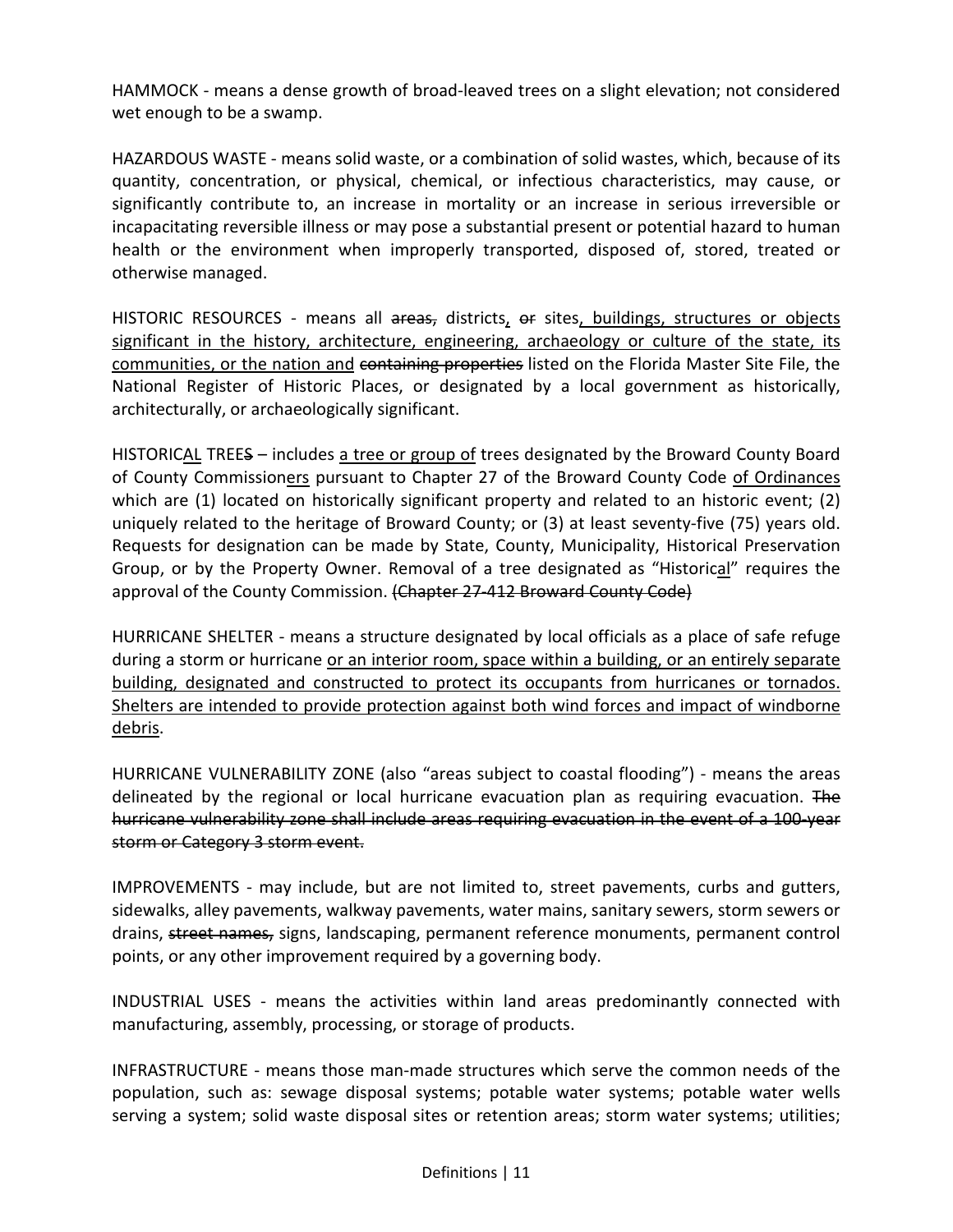HAMMOCK - means a dense growth of broad-leaved trees on a slight elevation; not considered wet enough to be a swamp.

HAZARDOUS WASTE - means solid waste, or a combination of solid wastes, which, because of its quantity, concentration, or physical, chemical, or infectious characteristics, may cause, or significantly contribute to, an increase in mortality or an increase in serious irreversible or incapacitating reversible illness or may pose a substantial present or potential hazard to human health or the environment when improperly transported, disposed of, stored, treated or otherwise managed.

HISTORIC RESOURCES - means all areas, districts, or sites, buildings, structures or objects significant in the history, architecture, engineering, archaeology or culture of the state, its communities, or the nation and containing properties listed on the Florida Master Site File, the National Register of Historic Places, or designated by a local government as historically, architecturally, or archaeologically significant.

HISTORICAL TREES – includes a tree or group of trees designated by the Broward County Board of County Commissioners pursuant to Chapter 27 of the Broward County Code of Ordinances which are (1) located on historically significant property and related to an historic event; (2) uniquely related to the heritage of Broward County; or (3) at least seventy-five (75) years old. Requests for designation can be made by State, County, Municipality, Historical Preservation Group, or by the Property Owner. Removal of a tree designated as "Historical" requires the approval of the County Commission. (Chapter 27-412 Broward County Code)

HURRICANE SHELTER - means a structure designated by local officials as a place of safe refuge during a storm or hurricane or an interior room, space within a building, or an entirely separate building, designated and constructed to protect its occupants from hurricanes or tornados. Shelters are intended to provide protection against both wind forces and impact of windborne debris.

HURRICANE VULNERABILITY ZONE (also "areas subject to coastal flooding") - means the areas delineated by the regional or local hurricane evacuation plan as requiring evacuation. The hurricane vulnerability zone shall include areas requiring evacuation in the event of a 100 year storm or Category 3 storm event.

IMPROVEMENTS - may include, but are not limited to, street pavements, curbs and gutters, sidewalks, alley pavements, walkway pavements, water mains, sanitary sewers, storm sewers or drains, street names, signs, landscaping, permanent reference monuments, permanent control points, or any other improvement required by a governing body.

INDUSTRIAL USES - means the activities within land areas predominantly connected with manufacturing, assembly, processing, or storage of products.

INFRASTRUCTURE - means those man-made structures which serve the common needs of the population, such as: sewage disposal systems; potable water systems; potable water wells serving a system; solid waste disposal sites or retention areas; storm water systems; utilities;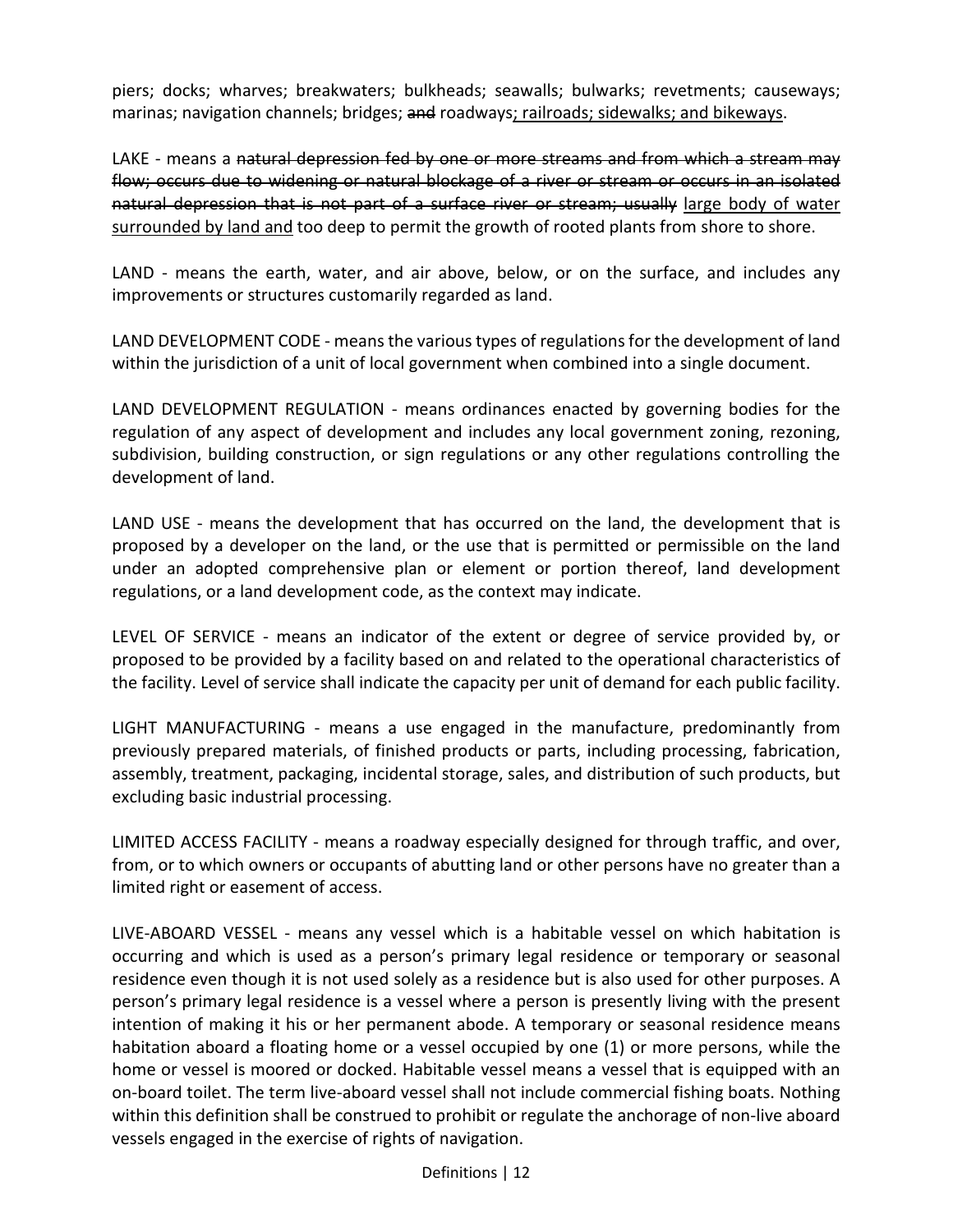piers; docks; wharves; breakwaters; bulkheads; seawalls; bulwarks; revetments; causeways; marinas; navigation channels; bridges; and roadways; railroads; sidewalks; and bikeways.

LAKE - means a natural depression fed by one or more streams and from which a stream may flow; occurs due to widening or natural blockage of a river or stream or occurs in an isolated natural depression that is not part of a surface river or stream; usually large body of water surrounded by land and too deep to permit the growth of rooted plants from shore to shore.

LAND - means the earth, water, and air above, below, or on the surface, and includes any improvements or structures customarily regarded as land.

LAND DEVELOPMENT CODE - means the various types of regulations for the development of land within the jurisdiction of a unit of local government when combined into a single document.

LAND DEVELOPMENT REGULATION - means ordinances enacted by governing bodies for the regulation of any aspect of development and includes any local government zoning, rezoning, subdivision, building construction, or sign regulations or any other regulations controlling the development of land.

LAND USE - means the development that has occurred on the land, the development that is proposed by a developer on the land, or the use that is permitted or permissible on the land under an adopted comprehensive plan or element or portion thereof, land development regulations, or a land development code, as the context may indicate.

LEVEL OF SERVICE - means an indicator of the extent or degree of service provided by, or proposed to be provided by a facility based on and related to the operational characteristics of the facility. Level of service shall indicate the capacity per unit of demand for each public facility.

LIGHT MANUFACTURING - means a use engaged in the manufacture, predominantly from previously prepared materials, of finished products or parts, including processing, fabrication, assembly, treatment, packaging, incidental storage, sales, and distribution of such products, but excluding basic industrial processing.

LIMITED ACCESS FACILITY - means a roadway especially designed for through traffic, and over, from, or to which owners or occupants of abutting land or other persons have no greater than a limited right or easement of access.

LIVE-ABOARD VESSEL - means any vessel which is a habitable vessel on which habitation is occurring and which is used as a person's primary legal residence or temporary or seasonal residence even though it is not used solely as a residence but is also used for other purposes. A person's primary legal residence is a vessel where a person is presently living with the present intention of making it his or her permanent abode. A temporary or seasonal residence means habitation aboard a floating home or a vessel occupied by one (1) or more persons, while the home or vessel is moored or docked. Habitable vessel means a vessel that is equipped with an on-board toilet. The term live-aboard vessel shall not include commercial fishing boats. Nothing within this definition shall be construed to prohibit or regulate the anchorage of non-live aboard vessels engaged in the exercise of rights of navigation.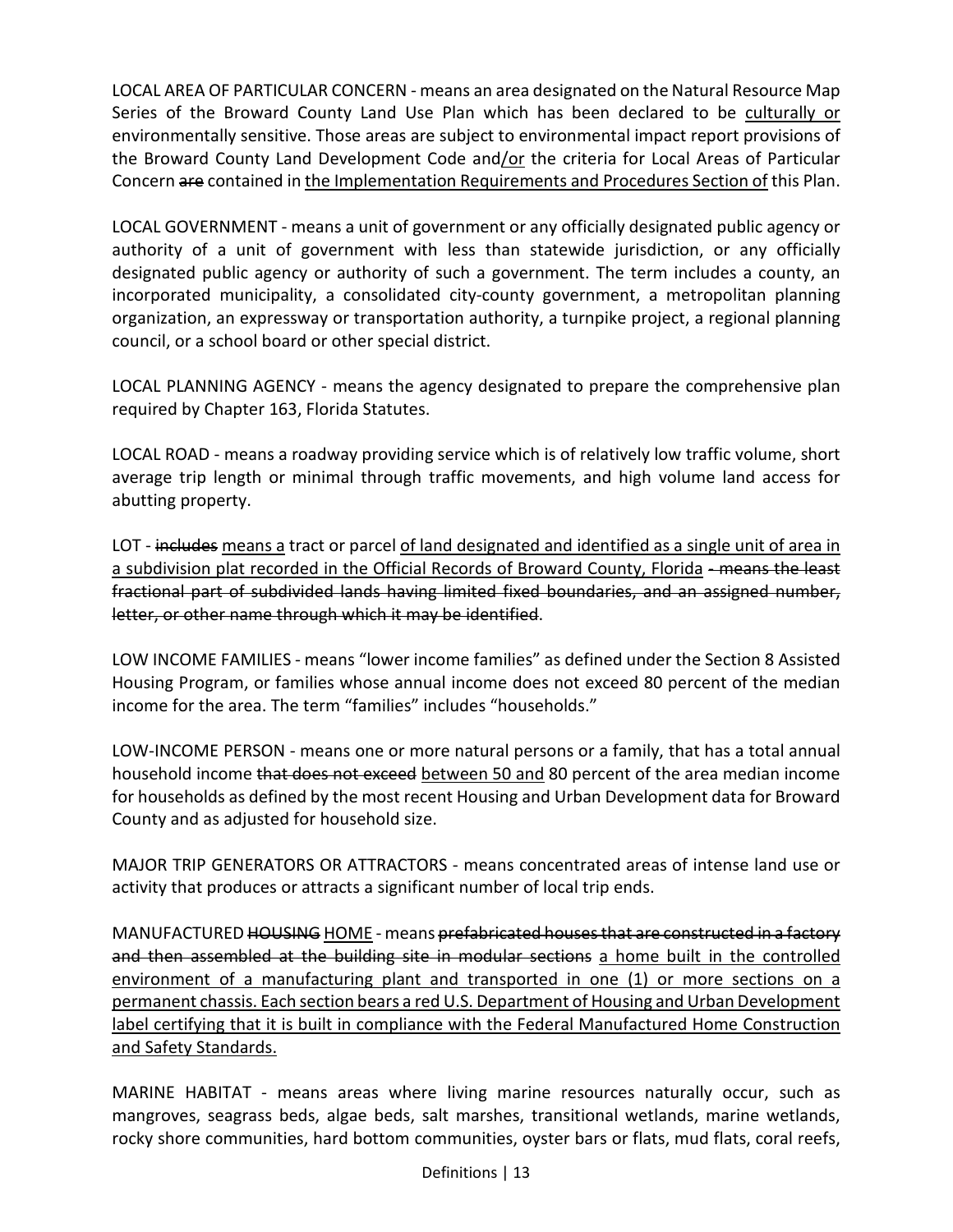LOCAL AREA OF PARTICULAR CONCERN - means an area designated on the Natural Resource Map Series of the Broward County Land Use Plan which has been declared to be culturally or environmentally sensitive. Those areas are subject to environmental impact report provisions of the Broward County Land Development Code and/or the criteria for Local Areas of Particular Concern are contained in the Implementation Requirements and Procedures Section of this Plan.

LOCAL GOVERNMENT - means a unit of government or any officially designated public agency or authority of a unit of government with less than statewide jurisdiction, or any officially designated public agency or authority of such a government. The term includes a county, an incorporated municipality, a consolidated city-county government, a metropolitan planning organization, an expressway or transportation authority, a turnpike project, a regional planning council, or a school board or other special district.

LOCAL PLANNING AGENCY - means the agency designated to prepare the comprehensive plan required by Chapter 163, Florida Statutes.

LOCAL ROAD - means a roadway providing service which is of relatively low traffic volume, short average trip length or minimal through traffic movements, and high volume land access for abutting property.

LOT - includes means a tract or parcel of land designated and identified as a single unit of area in a subdivision plat recorded in the Official Records of Broward County, Florida - means the least fractional part of subdivided lands having limited fixed boundaries, and an assigned number, letter, or other name through which it may be identified.

LOW INCOME FAMILIES - means "lower income families" as defined under the Section 8 Assisted Housing Program, or families whose annual income does not exceed 80 percent of the median income for the area. The term "families" includes "households."

LOW-INCOME PERSON - means one or more natural persons or a family, that has a total annual household income that does not exceed between 50 and 80 percent of the area median income for households as defined by the most recent Housing and Urban Development data for Broward County and as adjusted for household size.

MAJOR TRIP GENERATORS OR ATTRACTORS - means concentrated areas of intense land use or activity that produces or attracts a significant number of local trip ends.

MANUFACTURED HOUSING HOME - means prefabricated houses that are constructed in a factory and then assembled at the building site in modular sections a home built in the controlled environment of a manufacturing plant and transported in one (1) or more sections on a permanent chassis. Each section bears a red U.S. Department of Housing and Urban Development label certifying that it is built in compliance with the Federal Manufactured Home Construction and Safety Standards.

MARINE HABITAT - means areas where living marine resources naturally occur, such as mangroves, seagrass beds, algae beds, salt marshes, transitional wetlands, marine wetlands, rocky shore communities, hard bottom communities, oyster bars or flats, mud flats, coral reefs,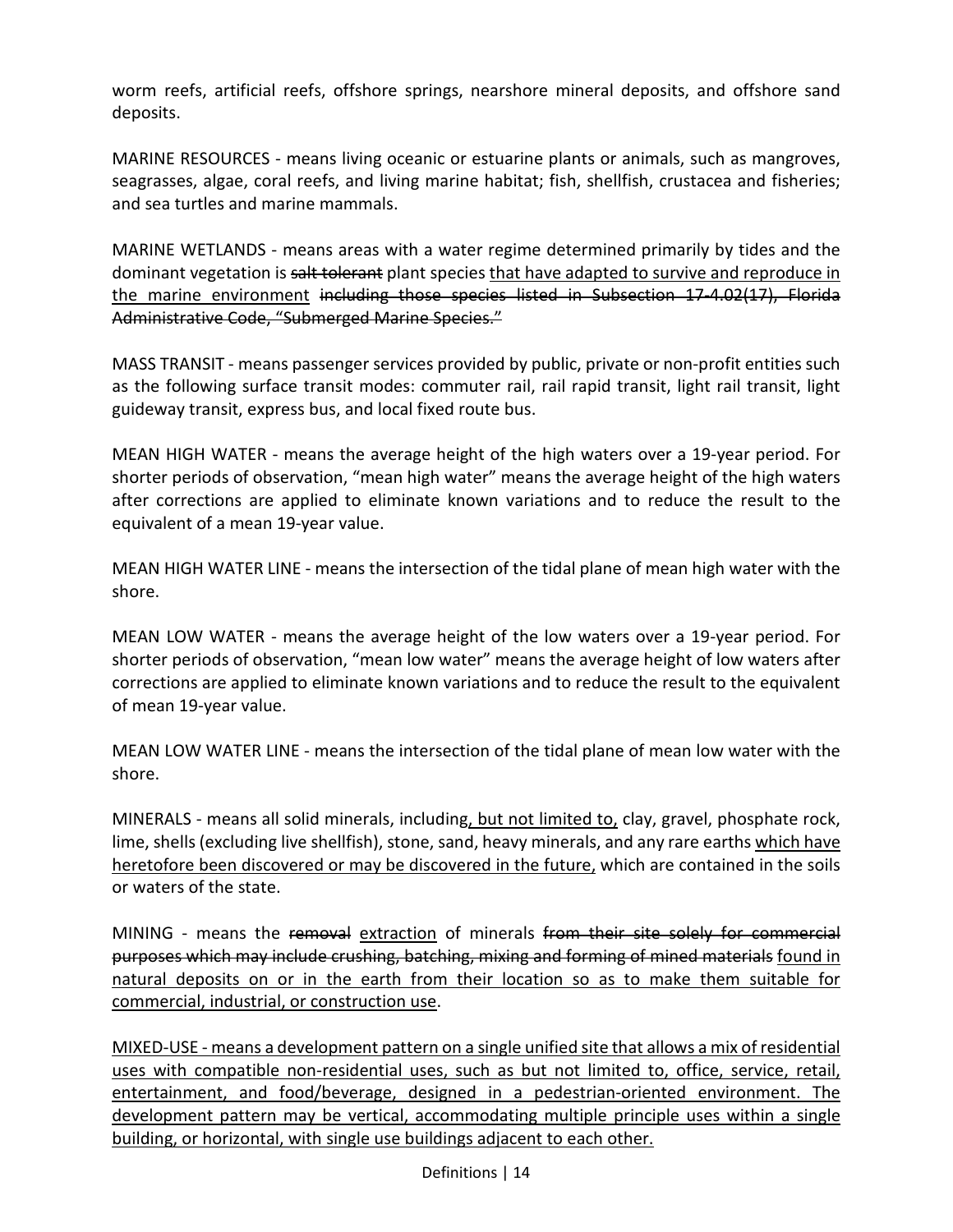worm reefs, artificial reefs, offshore springs, nearshore mineral deposits, and offshore sand deposits.

MARINE RESOURCES - means living oceanic or estuarine plants or animals, such as mangroves, seagrasses, algae, coral reefs, and living marine habitat; fish, shellfish, crustacea and fisheries; and sea turtles and marine mammals.

MARINE WETLANDS - means areas with a water regime determined primarily by tides and the dominant vegetation is salt tolerant plant species that have adapted to survive and reproduce in the marine environment including those species listed in Subsection 17-4.02(17), Florida Administrative Code, "Submerged Marine Species."

MASS TRANSIT - means passenger services provided by public, private or non-profit entities such as the following surface transit modes: commuter rail, rail rapid transit, light rail transit, light guideway transit, express bus, and local fixed route bus.

MEAN HIGH WATER - means the average height of the high waters over a 19-year period. For shorter periods of observation, "mean high water" means the average height of the high waters after corrections are applied to eliminate known variations and to reduce the result to the equivalent of a mean 19-year value.

MEAN HIGH WATER LINE - means the intersection of the tidal plane of mean high water with the shore.

MEAN LOW WATER - means the average height of the low waters over a 19-year period. For shorter periods of observation, "mean low water" means the average height of low waters after corrections are applied to eliminate known variations and to reduce the result to the equivalent of mean 19-year value.

MEAN LOW WATER LINE - means the intersection of the tidal plane of mean low water with the shore.

MINERALS - means all solid minerals, including, but not limited to, clay, gravel, phosphate rock, lime, shells (excluding live shellfish), stone, sand, heavy minerals, and any rare earths which have heretofore been discovered or may be discovered in the future, which are contained in the soils or waters of the state.

MINING - means the removal extraction of minerals from their site solely for commercial purposes which may include crushing, batching, mixing and forming of mined materials found in natural deposits on or in the earth from their location so as to make them suitable for commercial, industrial, or construction use.

MIXED-USE - means a development pattern on a single unified site that allows a mix of residential uses with compatible non-residential uses, such as but not limited to, office, service, retail, entertainment, and food/beverage, designed in a pedestrian-oriented environment. The development pattern may be vertical, accommodating multiple principle uses within a single building, or horizontal, with single use buildings adjacent to each other.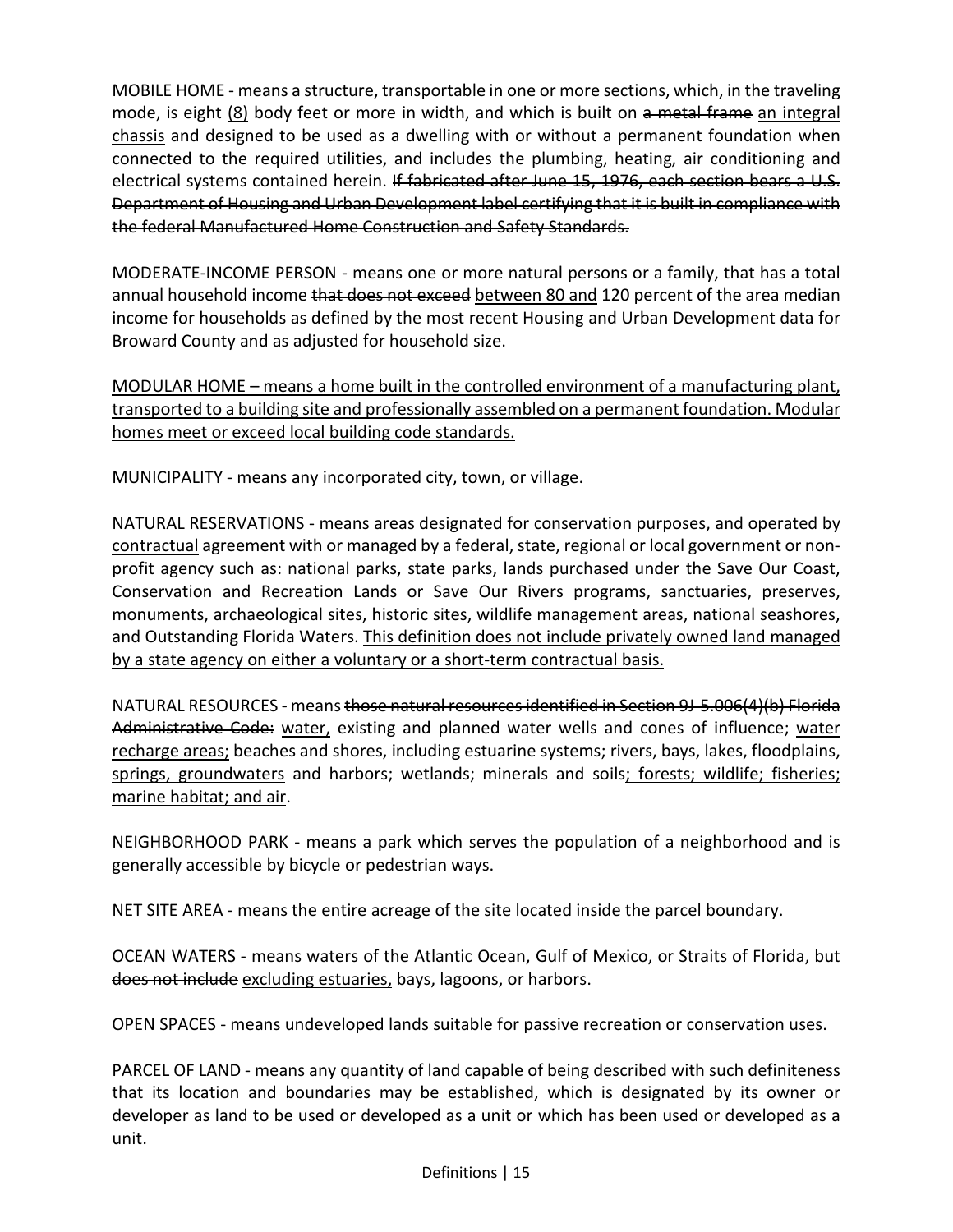MOBILE HOME - means a structure, transportable in one or more sections, which, in the traveling mode, is eight (8) body feet or more in width, and which is built on a metal frame an integral chassis and designed to be used as a dwelling with or without a permanent foundation when connected to the required utilities, and includes the plumbing, heating, air conditioning and electrical systems contained herein. If fabricated after June 15, 1976, each section bears a U.S. Department of Housing and Urban Development label certifying that it is built in compliance with the federal Manufactured Home Construction and Safety Standards.

MODERATE-INCOME PERSON - means one or more natural persons or a family, that has a total annual household income that does not exceed between 80 and 120 percent of the area median income for households as defined by the most recent Housing and Urban Development data for Broward County and as adjusted for household size.

MODULAR HOME – means a home built in the controlled environment of a manufacturing plant, transported to a building site and professionally assembled on a permanent foundation. Modular homes meet or exceed local building code standards.

MUNICIPALITY - means any incorporated city, town, or village.

NATURAL RESERVATIONS - means areas designated for conservation purposes, and operated by contractual agreement with or managed by a federal, state, regional or local government or nonprofit agency such as: national parks, state parks, lands purchased under the Save Our Coast, Conservation and Recreation Lands or Save Our Rivers programs, sanctuaries, preserves, monuments, archaeological sites, historic sites, wildlife management areas, national seashores, and Outstanding Florida Waters. This definition does not include privately owned land managed by a state agency on either a voluntary or a short-term contractual basis.

NATURAL RESOURCES - means those natural resources identified in Section 9J-5.006(4)(b) Florida Administrative Code: water, existing and planned water wells and cones of influence; water recharge areas; beaches and shores, including estuarine systems; rivers, bays, lakes, floodplains, springs, groundwaters and harbors; wetlands; minerals and soils; forests; wildlife; fisheries; marine habitat; and air.

NEIGHBORHOOD PARK - means a park which serves the population of a neighborhood and is generally accessible by bicycle or pedestrian ways.

NET SITE AREA - means the entire acreage of the site located inside the parcel boundary.

OCEAN WATERS - means waters of the Atlantic Ocean, Gulf of Mexico, or Straits of Florida, but does not include excluding estuaries, bays, lagoons, or harbors.

OPEN SPACES - means undeveloped lands suitable for passive recreation or conservation uses.

PARCEL OF LAND - means any quantity of land capable of being described with such definiteness that its location and boundaries may be established, which is designated by its owner or developer as land to be used or developed as a unit or which has been used or developed as a unit.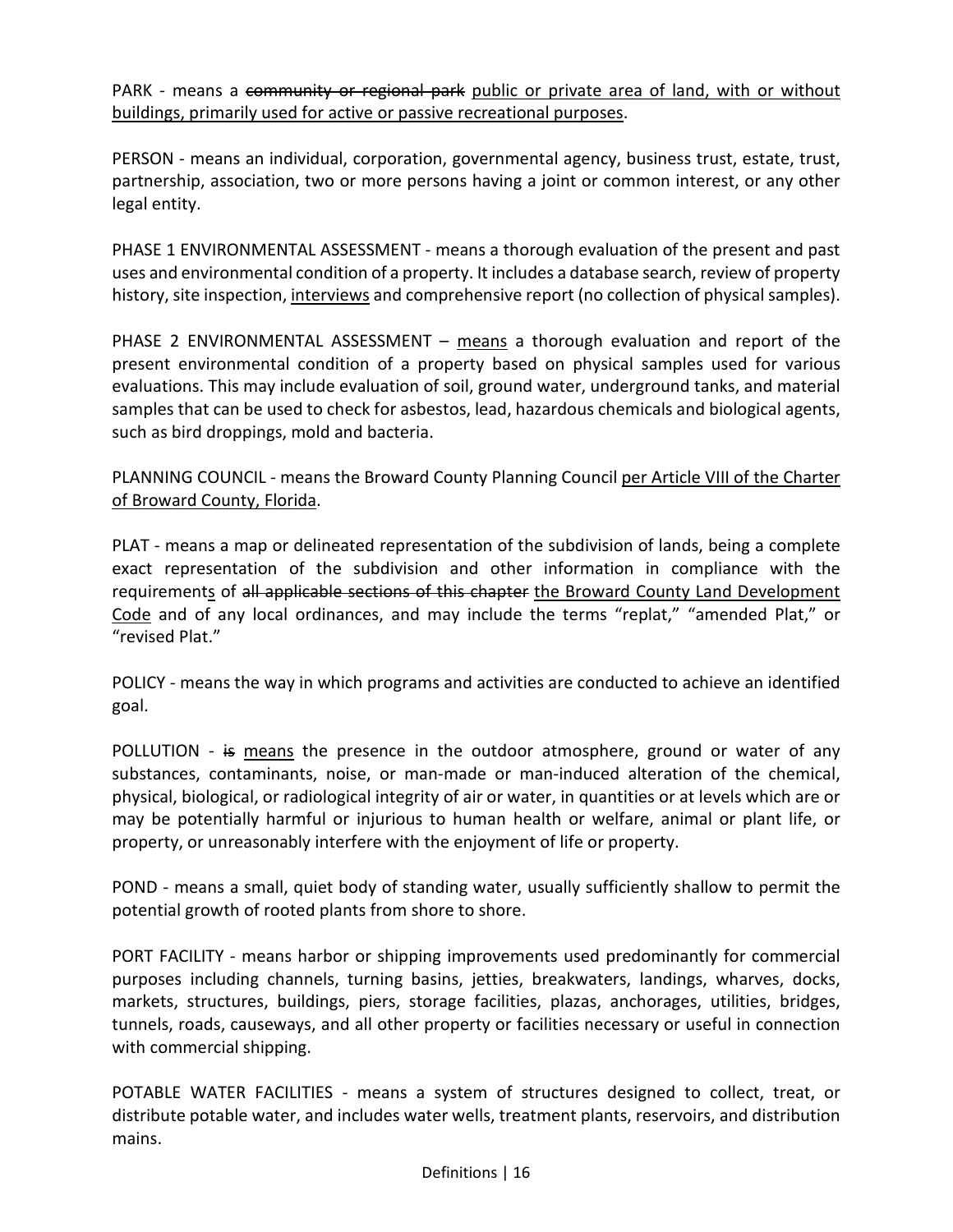PARK - means a community or regional park public or private area of land, with or without buildings, primarily used for active or passive recreational purposes.

PERSON - means an individual, corporation, governmental agency, business trust, estate, trust, partnership, association, two or more persons having a joint or common interest, or any other legal entity.

PHASE 1 ENVIRONMENTAL ASSESSMENT - means a thorough evaluation of the present and past uses and environmental condition of a property. It includes a database search, review of property history, site inspection, interviews and comprehensive report (no collection of physical samples).

PHASE 2 ENVIRONMENTAL ASSESSMENT – means a thorough evaluation and report of the present environmental condition of a property based on physical samples used for various evaluations. This may include evaluation of soil, ground water, underground tanks, and material samples that can be used to check for asbestos, lead, hazardous chemicals and biological agents, such as bird droppings, mold and bacteria.

PLANNING COUNCIL - means the Broward County Planning Council per Article VIII of the Charter of Broward County, Florida.

PLAT - means a map or delineated representation of the subdivision of lands, being a complete exact representation of the subdivision and other information in compliance with the requirements of all applicable sections of this chapter the Broward County Land Development Code and of any local ordinances, and may include the terms "replat," "amended Plat," or "revised Plat."

POLICY - means the way in which programs and activities are conducted to achieve an identified goal.

POLLUTION - is means the presence in the outdoor atmosphere, ground or water of any substances, contaminants, noise, or man-made or man-induced alteration of the chemical, physical, biological, or radiological integrity of air or water, in quantities or at levels which are or may be potentially harmful or injurious to human health or welfare, animal or plant life, or property, or unreasonably interfere with the enjoyment of life or property.

POND - means a small, quiet body of standing water, usually sufficiently shallow to permit the potential growth of rooted plants from shore to shore.

PORT FACILITY - means harbor or shipping improvements used predominantly for commercial purposes including channels, turning basins, jetties, breakwaters, landings, wharves, docks, markets, structures, buildings, piers, storage facilities, plazas, anchorages, utilities, bridges, tunnels, roads, causeways, and all other property or facilities necessary or useful in connection with commercial shipping.

POTABLE WATER FACILITIES - means a system of structures designed to collect, treat, or distribute potable water, and includes water wells, treatment plants, reservoirs, and distribution mains.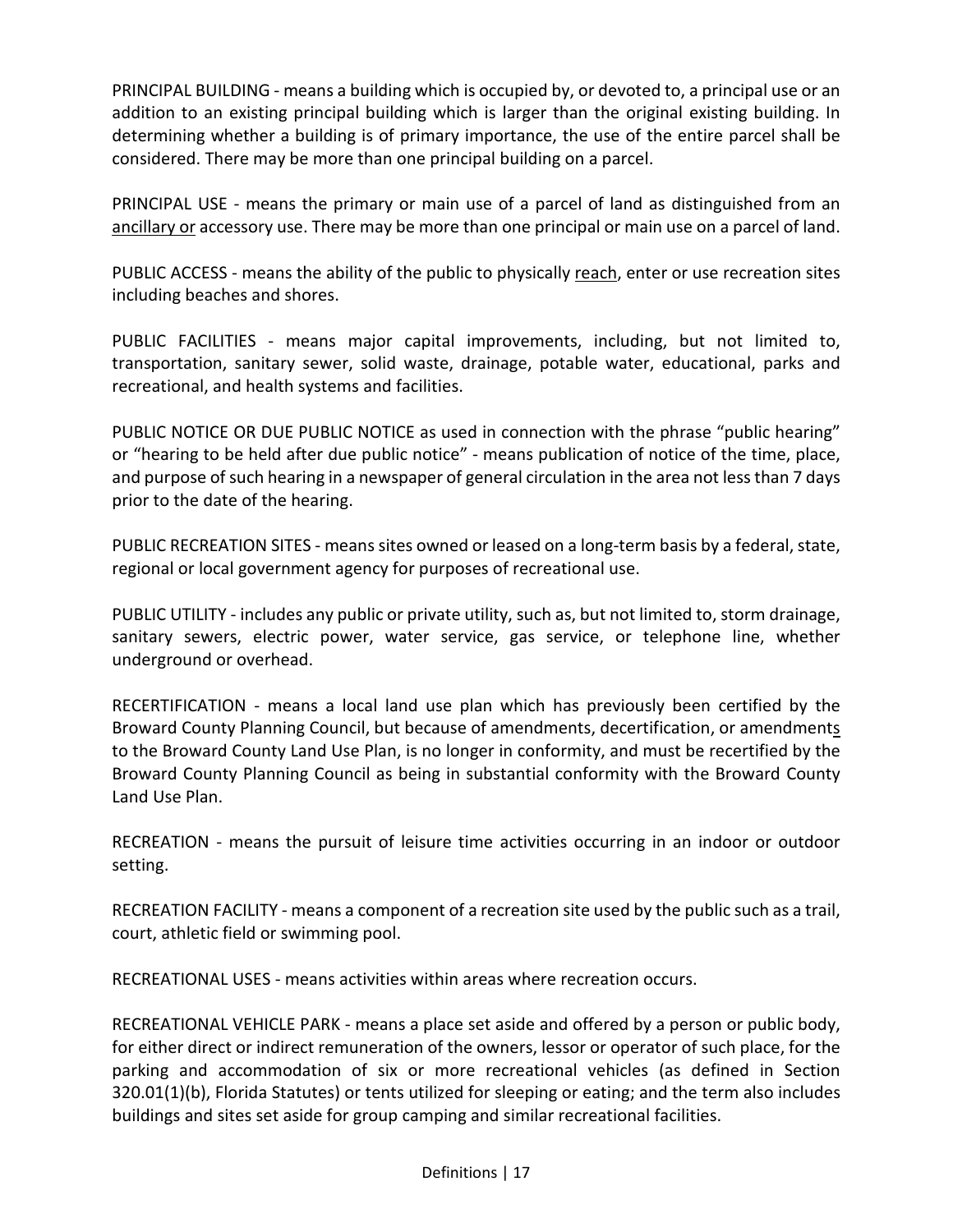PRINCIPAL BUILDING - means a building which is occupied by, or devoted to, a principal use or an addition to an existing principal building which is larger than the original existing building. In determining whether a building is of primary importance, the use of the entire parcel shall be considered. There may be more than one principal building on a parcel.

PRINCIPAL USE - means the primary or main use of a parcel of land as distinguished from an ancillary or accessory use. There may be more than one principal or main use on a parcel of land.

PUBLIC ACCESS - means the ability of the public to physically reach, enter or use recreation sites including beaches and shores.

PUBLIC FACILITIES - means major capital improvements, including, but not limited to, transportation, sanitary sewer, solid waste, drainage, potable water, educational, parks and recreational, and health systems and facilities.

PUBLIC NOTICE OR DUE PUBLIC NOTICE as used in connection with the phrase "public hearing" or "hearing to be held after due public notice" - means publication of notice of the time, place, and purpose of such hearing in a newspaper of general circulation in the area not less than 7 days prior to the date of the hearing.

PUBLIC RECREATION SITES - means sites owned or leased on a long-term basis by a federal, state, regional or local government agency for purposes of recreational use.

PUBLIC UTILITY - includes any public or private utility, such as, but not limited to, storm drainage, sanitary sewers, electric power, water service, gas service, or telephone line, whether underground or overhead.

RECERTIFICATION - means a local land use plan which has previously been certified by the Broward County Planning Council, but because of amendments, decertification, or amendments to the Broward County Land Use Plan, is no longer in conformity, and must be recertified by the Broward County Planning Council as being in substantial conformity with the Broward County Land Use Plan.

RECREATION - means the pursuit of leisure time activities occurring in an indoor or outdoor setting.

RECREATION FACILITY - means a component of a recreation site used by the public such as a trail, court, athletic field or swimming pool.

RECREATIONAL USES - means activities within areas where recreation occurs.

RECREATIONAL VEHICLE PARK - means a place set aside and offered by a person or public body, for either direct or indirect remuneration of the owners, lessor or operator of such place, for the parking and accommodation of six or more recreational vehicles (as defined in Section 320.01(1)(b), Florida Statutes) or tents utilized for sleeping or eating; and the term also includes buildings and sites set aside for group camping and similar recreational facilities.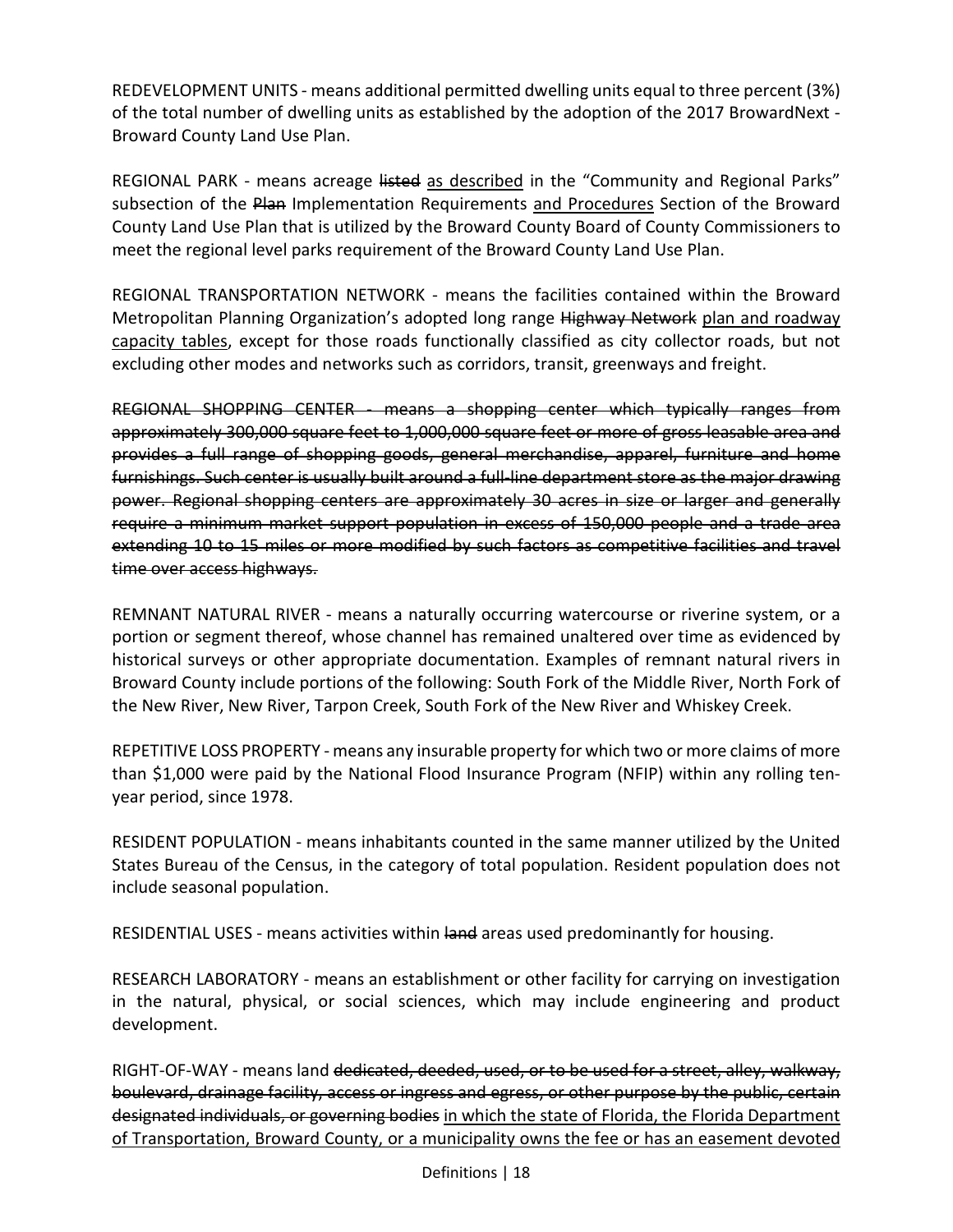REDEVELOPMENT UNITS - means additional permitted dwelling units equal to three percent (3%) of the total number of dwelling units as established by the adoption of the 2017 BrowardNext - Broward County Land Use Plan.

REGIONAL PARK - means acreage listed as described in the "Community and Regional Parks" subsection of the Plan Implementation Requirements and Procedures Section of the Broward County Land Use Plan that is utilized by the Broward County Board of County Commissioners to meet the regional level parks requirement of the Broward County Land Use Plan.

REGIONAL TRANSPORTATION NETWORK - means the facilities contained within the Broward Metropolitan Planning Organization's adopted long range Highway Network plan and roadway capacity tables, except for those roads functionally classified as city collector roads, but not excluding other modes and networks such as corridors, transit, greenways and freight.

REGIONAL SHOPPING CENTER - means a shopping center which typically ranges from approximately 300,000 square feet to 1,000,000 square feet or more of gross leasable area and provides a full range of shopping goods, general merchandise, apparel, furniture and home furnishings. Such center is usually built around a full-line department store as the major drawing power. Regional shopping centers are approximately 30 acres in size or larger and generally require a minimum market support population in excess of 150,000 people and a trade area extending 10 to 15 miles or more modified by such factors as competitive facilities and travel time over access highways.

REMNANT NATURAL RIVER - means a naturally occurring watercourse or riverine system, or a portion or segment thereof, whose channel has remained unaltered over time as evidenced by historical surveys or other appropriate documentation. Examples of remnant natural rivers in Broward County include portions of the following: South Fork of the Middle River, North Fork of the New River, New River, Tarpon Creek, South Fork of the New River and Whiskey Creek.

REPETITIVE LOSS PROPERTY - means any insurable property for which two or more claims of more than \$1,000 were paid by the National Flood Insurance Program (NFIP) within any rolling tenyear period, since 1978.

RESIDENT POPULATION - means inhabitants counted in the same manner utilized by the United States Bureau of the Census, in the category of total population. Resident population does not include seasonal population.

RESIDENTIAL USES - means activities within land areas used predominantly for housing.

RESEARCH LABORATORY - means an establishment or other facility for carrying on investigation in the natural, physical, or social sciences, which may include engineering and product development.

RIGHT-OF-WAY - means land dedicated, deeded, used, or to be used for a street, alley, walkway, boulevard, drainage facility, access or ingress and egress, or other purpose by the public, certain designated individuals, or governing bodies in which the state of Florida, the Florida Department of Transportation, Broward County, or a municipality owns the fee or has an easement devoted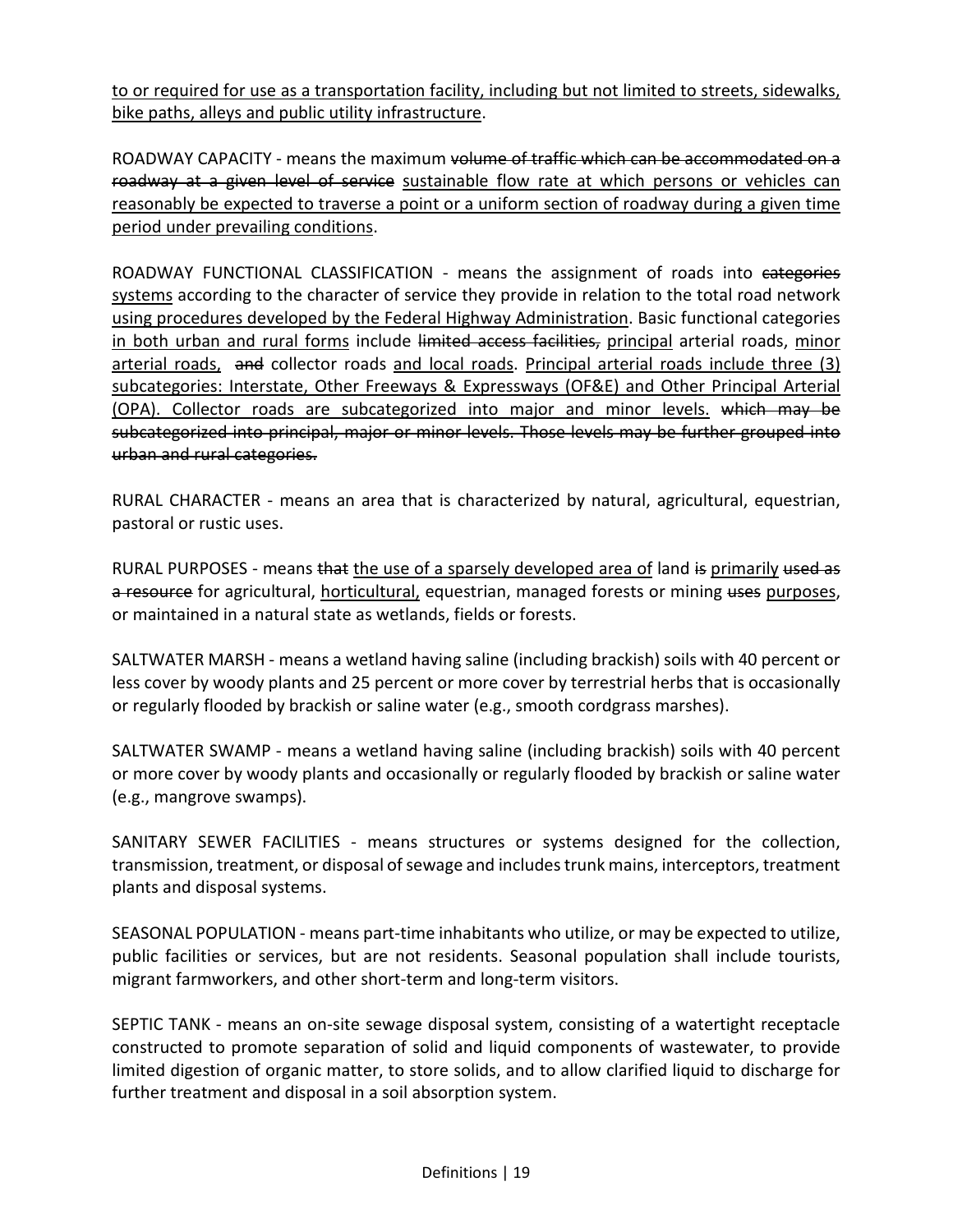to or required for use as a transportation facility, including but not limited to streets, sidewalks, bike paths, alleys and public utility infrastructure.

ROADWAY CAPACITY - means the maximum volume of traffic which can be accommodated on a roadway at a given level of service sustainable flow rate at which persons or vehicles can reasonably be expected to traverse a point or a uniform section of roadway during a given time period under prevailing conditions.

ROADWAY FUNCTIONAL CLASSIFICATION - means the assignment of roads into categories systems according to the character of service they provide in relation to the total road network using procedures developed by the Federal Highway Administration. Basic functional categories in both urban and rural forms include limited access facilities, principal arterial roads, minor arterial roads, and collector roads and local roads. Principal arterial roads include three (3) subcategories: Interstate, Other Freeways & Expressways (OF&E) and Other Principal Arterial (OPA). Collector roads are subcategorized into major and minor levels. which may be subcategorized into principal, major or minor levels. Those levels may be further grouped into urban and rural categories.

RURAL CHARACTER - means an area that is characterized by natural, agricultural, equestrian, pastoral or rustic uses.

RURAL PURPOSES - means that the use of a sparsely developed area of land is primarily used as a resource for agricultural, horticultural, equestrian, managed forests or mining uses purposes, or maintained in a natural state as wetlands, fields or forests.

SALTWATER MARSH - means a wetland having saline (including brackish) soils with 40 percent or less cover by woody plants and 25 percent or more cover by terrestrial herbs that is occasionally or regularly flooded by brackish or saline water (e.g., smooth cordgrass marshes).

SALTWATER SWAMP - means a wetland having saline (including brackish) soils with 40 percent or more cover by woody plants and occasionally or regularly flooded by brackish or saline water (e.g., mangrove swamps).

SANITARY SEWER FACILITIES - means structures or systems designed for the collection, transmission, treatment, or disposal of sewage and includes trunk mains, interceptors, treatment plants and disposal systems.

SEASONAL POPULATION - means part-time inhabitants who utilize, or may be expected to utilize, public facilities or services, but are not residents. Seasonal population shall include tourists, migrant farmworkers, and other short-term and long-term visitors.

SEPTIC TANK - means an on-site sewage disposal system, consisting of a watertight receptacle constructed to promote separation of solid and liquid components of wastewater, to provide limited digestion of organic matter, to store solids, and to allow clarified liquid to discharge for further treatment and disposal in a soil absorption system.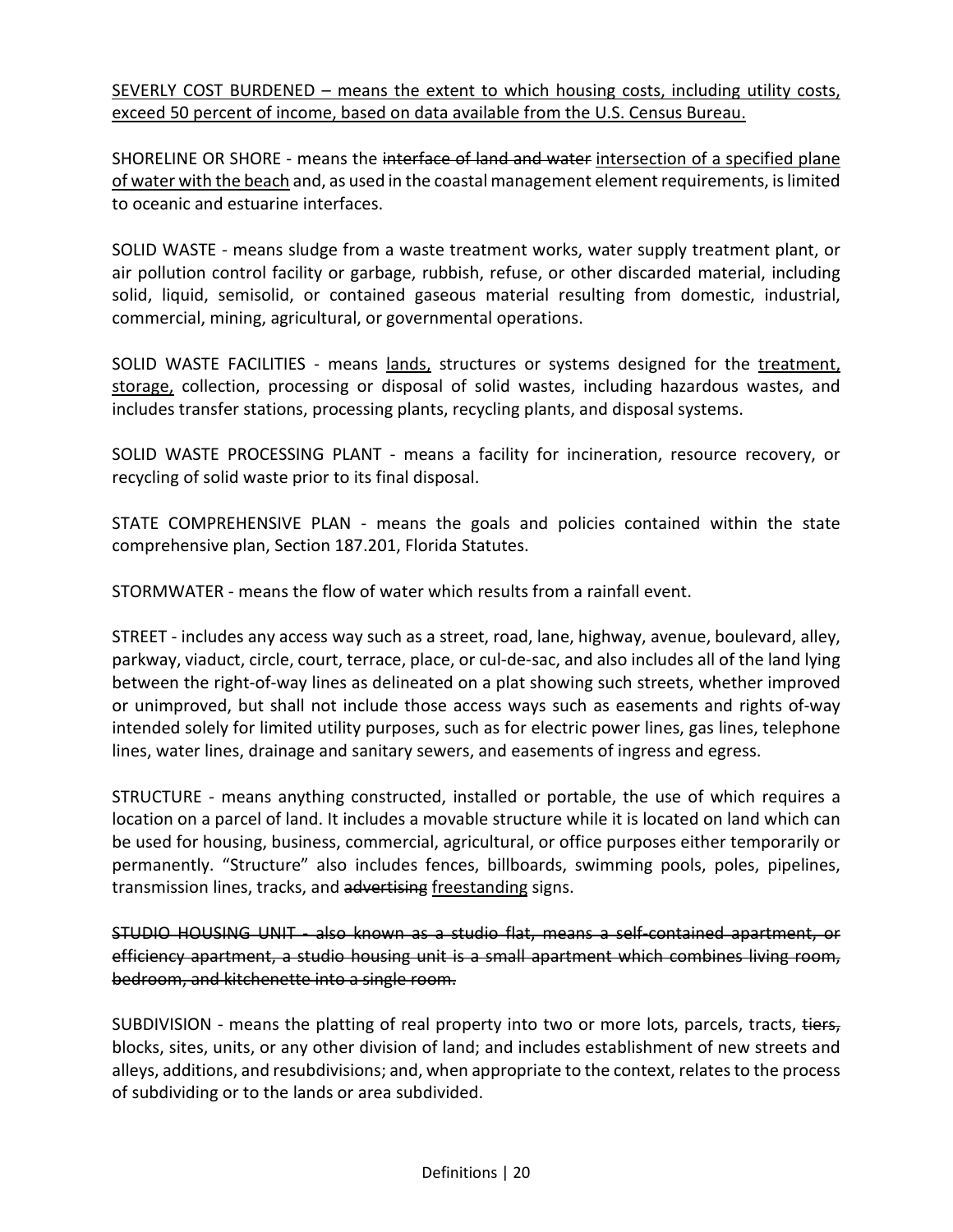SEVERLY COST BURDENED – means the extent to which housing costs, including utility costs, exceed 50 percent of income, based on data available from the U.S. Census Bureau.

SHORELINE OR SHORE - means the interface of land and water intersection of a specified plane of water with the beach and, as used in the coastal management element requirements, is limited to oceanic and estuarine interfaces.

SOLID WASTE - means sludge from a waste treatment works, water supply treatment plant, or air pollution control facility or garbage, rubbish, refuse, or other discarded material, including solid, liquid, semisolid, or contained gaseous material resulting from domestic, industrial, commercial, mining, agricultural, or governmental operations.

SOLID WASTE FACILITIES - means lands, structures or systems designed for the treatment, storage, collection, processing or disposal of solid wastes, including hazardous wastes, and includes transfer stations, processing plants, recycling plants, and disposal systems.

SOLID WASTE PROCESSING PLANT - means a facility for incineration, resource recovery, or recycling of solid waste prior to its final disposal.

STATE COMPREHENSIVE PLAN - means the goals and policies contained within the state comprehensive plan, Section 187.201, Florida Statutes.

STORMWATER - means the flow of water which results from a rainfall event.

STREET - includes any access way such as a street, road, lane, highway, avenue, boulevard, alley, parkway, viaduct, circle, court, terrace, place, or cul-de-sac, and also includes all of the land lying between the right-of-way lines as delineated on a plat showing such streets, whether improved or unimproved, but shall not include those access ways such as easements and rights of-way intended solely for limited utility purposes, such as for electric power lines, gas lines, telephone lines, water lines, drainage and sanitary sewers, and easements of ingress and egress.

STRUCTURE - means anything constructed, installed or portable, the use of which requires a location on a parcel of land. It includes a movable structure while it is located on land which can be used for housing, business, commercial, agricultural, or office purposes either temporarily or permanently. "Structure" also includes fences, billboards, swimming pools, poles, pipelines, transmission lines, tracks, and advertising freestanding signs.

STUDIO HOUSING UNIT - also known as a studio flat, means a self-contained apartment, or efficiency apartment, a studio housing unit is a small apartment which combines living room, bedroom, and kitchenette into a single room.

SUBDIVISION - means the platting of real property into two or more lots, parcels, tracts, tiers, blocks, sites, units, or any other division of land; and includes establishment of new streets and alleys, additions, and resubdivisions; and, when appropriate to the context, relates to the process of subdividing or to the lands or area subdivided.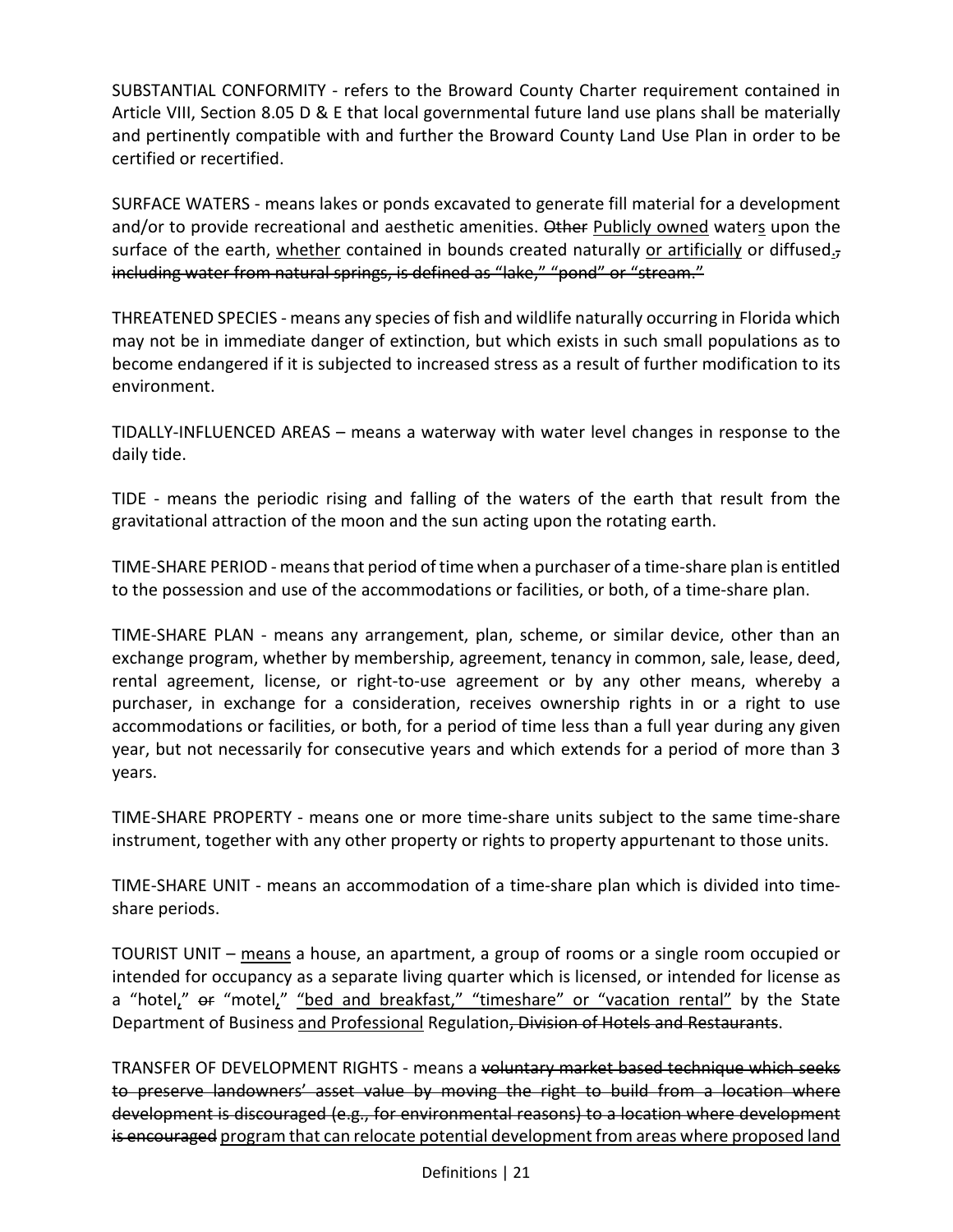SUBSTANTIAL CONFORMITY - refers to the Broward County Charter requirement contained in Article VIII, Section 8.05 D & E that local governmental future land use plans shall be materially and pertinently compatible with and further the Broward County Land Use Plan in order to be certified or recertified.

SURFACE WATERS - means lakes or ponds excavated to generate fill material for a development and/or to provide recreational and aesthetic amenities. Other Publicly owned waters upon the surface of the earth, whether contained in bounds created naturally or artificially or diffused. $<sub>z</sub>$ </sub> including water from natural springs, is defined as "lake," "pond" or "stream."

THREATENED SPECIES - means any species of fish and wildlife naturally occurring in Florida which may not be in immediate danger of extinction, but which exists in such small populations as to become endangered if it is subjected to increased stress as a result of further modification to its environment.

TIDALLY-INFLUENCED AREAS – means a waterway with water level changes in response to the daily tide.

TIDE - means the periodic rising and falling of the waters of the earth that result from the gravitational attraction of the moon and the sun acting upon the rotating earth.

TIME-SHARE PERIOD - means that period of time when a purchaser of a time-share plan is entitled to the possession and use of the accommodations or facilities, or both, of a time-share plan.

TIME-SHARE PLAN - means any arrangement, plan, scheme, or similar device, other than an exchange program, whether by membership, agreement, tenancy in common, sale, lease, deed, rental agreement, license, or right-to-use agreement or by any other means, whereby a purchaser, in exchange for a consideration, receives ownership rights in or a right to use accommodations or facilities, or both, for a period of time less than a full year during any given year, but not necessarily for consecutive years and which extends for a period of more than 3 years.

TIME-SHARE PROPERTY - means one or more time-share units subject to the same time-share instrument, together with any other property or rights to property appurtenant to those units.

TIME-SHARE UNIT - means an accommodation of a time-share plan which is divided into timeshare periods.

TOURIST UNIT – means a house, an apartment, a group of rooms or a single room occupied or intended for occupancy as a separate living quarter which is licensed, or intended for license as a "hotel,"  $er$  "motel," "bed and breakfast," "timeshare" or "vacation rental" by the State Department of Business and Professional Regulation, Division of Hotels and Restaurants.

TRANSFER OF DEVELOPMENT RIGHTS - means a voluntary market based technique which seeks to preserve landowners' asset value by moving the right to build from a location where development is discouraged (e.g., for environmental reasons) to a location where development is encouraged program that can relocate potential development from areas where proposed land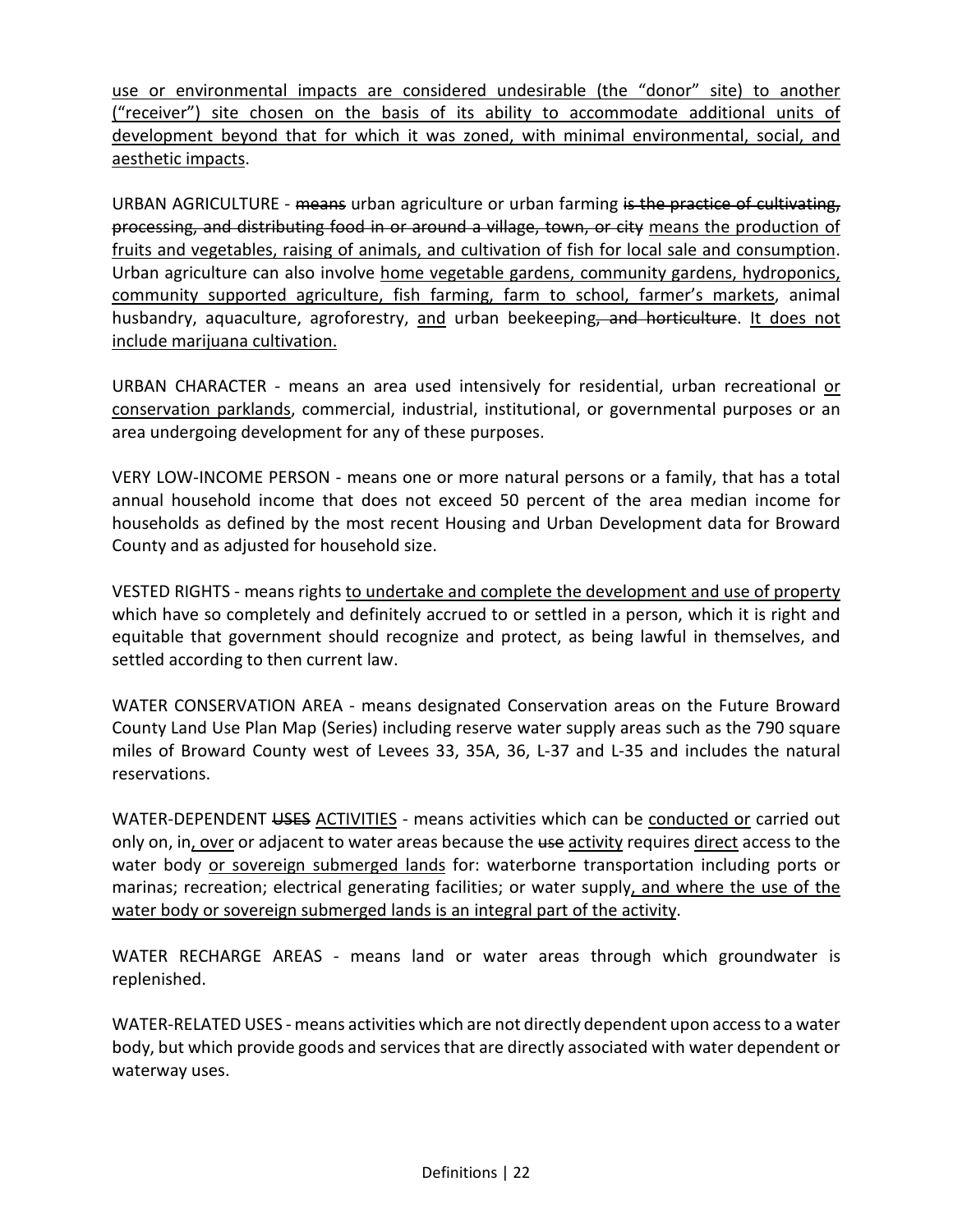use or environmental impacts are considered undesirable (the "donor" site) to another ("receiver") site chosen on the basis of its ability to accommodate additional units of development beyond that for which it was zoned, with minimal environmental, social, and aesthetic impacts.

URBAN AGRICULTURE - means urban agriculture or urban farming is the practice of cultivating, processing, and distributing food in or around a village, town, or city means the production of fruits and vegetables, raising of animals, and cultivation of fish for local sale and consumption. Urban agriculture can also involve home vegetable gardens, community gardens, hydroponics, community supported agriculture, fish farming, farm to school, farmer's markets, animal husbandry, aquaculture, agroforestry, and urban beekeeping, and horticulture. It does not include marijuana cultivation.

URBAN CHARACTER - means an area used intensively for residential, urban recreational or conservation parklands, commercial, industrial, institutional, or governmental purposes or an area undergoing development for any of these purposes.

VERY LOW-INCOME PERSON - means one or more natural persons or a family, that has a total annual household income that does not exceed 50 percent of the area median income for households as defined by the most recent Housing and Urban Development data for Broward County and as adjusted for household size.

VESTED RIGHTS - means rights to undertake and complete the development and use of property which have so completely and definitely accrued to or settled in a person, which it is right and equitable that government should recognize and protect, as being lawful in themselves, and settled according to then current law.

WATER CONSERVATION AREA - means designated Conservation areas on the Future Broward County Land Use Plan Map (Series) including reserve water supply areas such as the 790 square miles of Broward County west of Levees 33, 35A, 36, L-37 and L-35 and includes the natural reservations.

WATER-DEPENDENT USES ACTIVITIES - means activities which can be conducted or carried out only on, in, over or adjacent to water areas because the use activity requires direct access to the water body or sovereign submerged lands for: waterborne transportation including ports or marinas; recreation; electrical generating facilities; or water supply, and where the use of the water body or sovereign submerged lands is an integral part of the activity.

WATER RECHARGE AREAS - means land or water areas through which groundwater is replenished.

WATER-RELATED USES - means activities which are not directly dependent upon access to a water body, but which provide goods and services that are directly associated with water dependent or waterway uses.